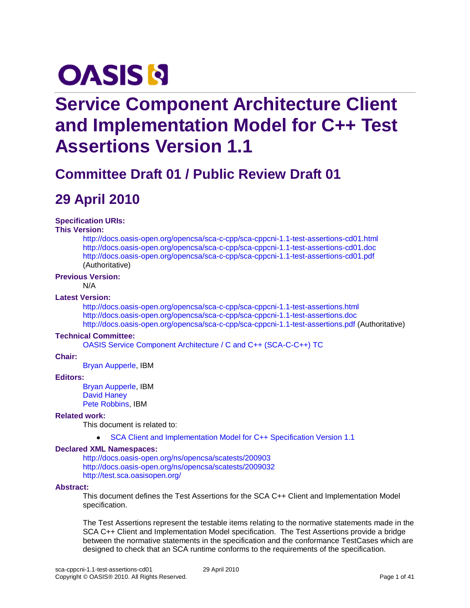# **OASIS N**

# **Service Component Architecture Client and Implementation Model for C++ Test Assertions Version 1.1**

# **Committee Draft 01 / Public Review Draft 01**

# **29 April 2010**

#### **Specification URIs:**

#### **This Version:**

<http://docs.oasis-open.org/opencsa/sca-c-cpp/sca-cppcni-1.1-test-assertions-cd01.html> <http://docs.oasis-open.org/opencsa/sca-c-cpp/sca-cppcni-1.1-test-assertions-cd01.doc> <http://docs.oasis-open.org/opencsa/sca-c-cpp/sca-cppcni-1.1-test-assertions-cd01.pdf> (Authoritative)

#### **Previous Version:**

N/A

#### **Latest Version:**

<http://docs.oasis-open.org/opencsa/sca-c-cpp/sca-cppcni-1.1-test-assertions.html> <http://docs.oasis-open.org/opencsa/sca-c-cpp/sca-cppcni-1.1-test-assertions.doc> <http://docs.oasis-open.org/opencsa/sca-c-cpp/sca-cppcni-1.1-test-assertions.pdf> (Authoritative)

#### **Technical Committee:**

[OASIS Service Component Architecture / C and C++ \(SCA-C-C++\) TC](http://www.oasis-open.org/committees/tc_home.php?wg_abbrev=sca-c-cpp)

#### **Chair:**

[Bryan Aupperle,](mailto:aupperle@us.ibm.com) IBM

#### **Editors:**

[Bryan Aupperle,](mailto:aupperle@us.ibm.com) IBM [David Haney](mailto:haney@roguewave.com) [Pete Robbins,](mailto:robbins@uk.ibm.com) IBM

#### **Related work:**

This document is related to:

[SCA Client and Implementation Model for C++ Specification Version 1.1](http://docs.oasis-open.org/opencsa/sca-c-cpp/sca-cppcni-1.1-spec.pdf)  $\bullet$ 

#### **Declared XML Namespaces:**

<http://docs.oasis-open.org/ns/opencsa/scatests/200903> <http://docs.oasis-open.org/ns/opencsa/scatests/2009032> <http://test.sca.oasisopen.org/>

#### **Abstract:**

This document defines the Test Assertions for the SCA C++ Client and Implementation Model specification.

The Test Assertions represent the testable items relating to the normative statements made in the SCA C++ Client and Implementation Model specification. The Test Assertions provide a bridge between the normative statements in the specification and the conformance TestCases which are designed to check that an SCA runtime conforms to the requirements of the specification.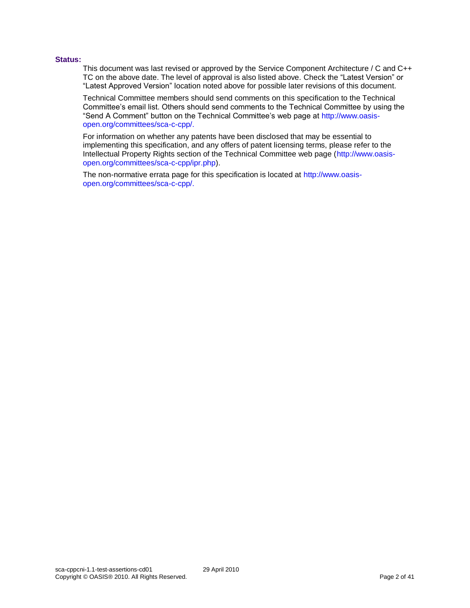#### **Status:**

This document was last revised or approved by the Service Component Architecture / C and C++ TC on the above date. The level of approval is also listed above. Check the "Latest Version" or "Latest Approved Version" location noted above for possible later revisions of this document.

Technical Committee members should send comments on this specification to the Technical Committee's email list. Others should send comments to the Technical Committee by using the "Send A Comment" button on the Technical Committee's web page a[t http://www.oasis](http://www.oasis-open.org/committees/sca-c-cpp/)[open.org/committees/sca-c-cpp/.](http://www.oasis-open.org/committees/sca-c-cpp/)

For information on whether any patents have been disclosed that may be essential to implementing this specification, and any offers of patent licensing terms, please refer to the Intellectual Property Rights section of the Technical Committee web page [\(http://www.oasis](http://www.oasis-open.org/committees/sca-c-cpp/ipr.php)[open.org/committees/sca-c-cpp/ipr.php\)](http://www.oasis-open.org/committees/sca-c-cpp/ipr.php).

The non-normative errata page for this specification is located at [http://www.oasis](http://www.oasis-open.org/committees/sca-c-cpp/)[open.org/committees/sca-c-cpp/.](http://www.oasis-open.org/committees/sca-c-cpp/)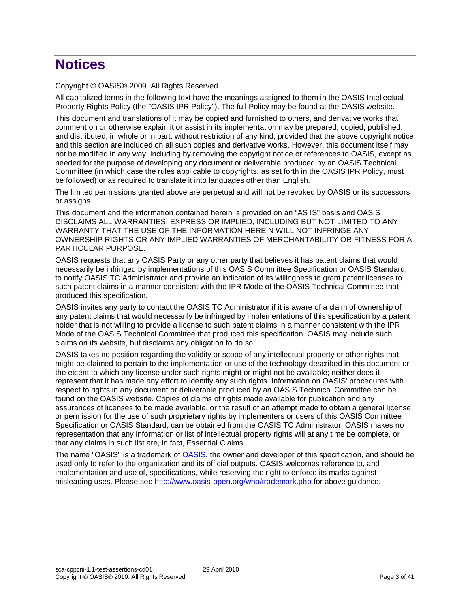# **Notices**

Copyright © OASIS® 2009. All Rights Reserved.

All capitalized terms in the following text have the meanings assigned to them in the OASIS Intellectual Property Rights Policy (the "OASIS IPR Policy"). The full Policy may be found at the OASIS website.

This document and translations of it may be copied and furnished to others, and derivative works that comment on or otherwise explain it or assist in its implementation may be prepared, copied, published, and distributed, in whole or in part, without restriction of any kind, provided that the above copyright notice and this section are included on all such copies and derivative works. However, this document itself may not be modified in any way, including by removing the copyright notice or references to OASIS, except as needed for the purpose of developing any document or deliverable produced by an OASIS Technical Committee (in which case the rules applicable to copyrights, as set forth in the OASIS IPR Policy, must be followed) or as required to translate it into languages other than English.

The limited permissions granted above are perpetual and will not be revoked by OASIS or its successors or assigns.

This document and the information contained herein is provided on an "AS IS" basis and OASIS DISCLAIMS ALL WARRANTIES, EXPRESS OR IMPLIED, INCLUDING BUT NOT LIMITED TO ANY WARRANTY THAT THE USE OF THE INFORMATION HEREIN WILL NOT INFRINGE ANY OWNERSHIP RIGHTS OR ANY IMPLIED WARRANTIES OF MERCHANTABILITY OR FITNESS FOR A PARTICULAR PURPOSE.

OASIS requests that any OASIS Party or any other party that believes it has patent claims that would necessarily be infringed by implementations of this OASIS Committee Specification or OASIS Standard, to notify OASIS TC Administrator and provide an indication of its willingness to grant patent licenses to such patent claims in a manner consistent with the IPR Mode of the OASIS Technical Committee that produced this specification.

OASIS invites any party to contact the OASIS TC Administrator if it is aware of a claim of ownership of any patent claims that would necessarily be infringed by implementations of this specification by a patent holder that is not willing to provide a license to such patent claims in a manner consistent with the IPR Mode of the OASIS Technical Committee that produced this specification. OASIS may include such claims on its website, but disclaims any obligation to do so.

OASIS takes no position regarding the validity or scope of any intellectual property or other rights that might be claimed to pertain to the implementation or use of the technology described in this document or the extent to which any license under such rights might or might not be available; neither does it represent that it has made any effort to identify any such rights. Information on OASIS' procedures with respect to rights in any document or deliverable produced by an OASIS Technical Committee can be found on the OASIS website. Copies of claims of rights made available for publication and any assurances of licenses to be made available, or the result of an attempt made to obtain a general license or permission for the use of such proprietary rights by implementers or users of this OASIS Committee Specification or OASIS Standard, can be obtained from the OASIS TC Administrator. OASIS makes no representation that any information or list of intellectual property rights will at any time be complete, or that any claims in such list are, in fact, Essential Claims.

The name "OASIS" is a trademark of [OASIS,](http://www.oasis-open.org/) the owner and developer of this specification, and should be used only to refer to the organization and its official outputs. OASIS welcomes reference to, and implementation and use of, specifications, while reserving the right to enforce its marks against misleading uses. Please see<http://www.oasis-open.org/who/trademark.php> for above guidance.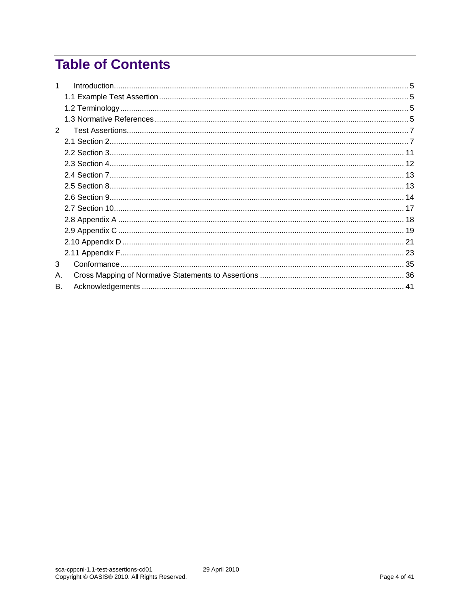# **Table of Contents**

| $\mathcal{P}$ |  |
|---------------|--|
|               |  |
|               |  |
|               |  |
|               |  |
|               |  |
|               |  |
|               |  |
|               |  |
|               |  |
|               |  |
|               |  |
| 3             |  |
| А.            |  |
| В.            |  |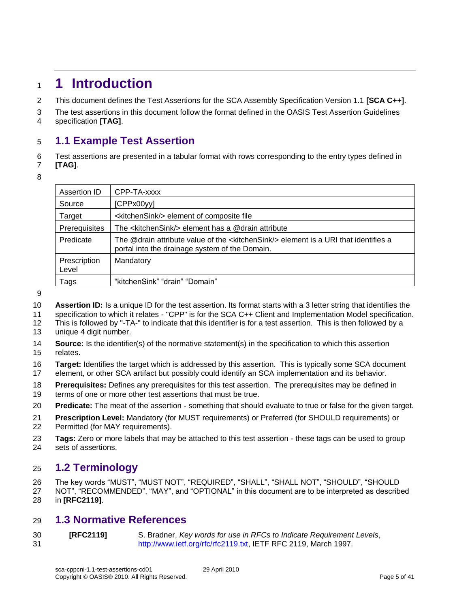# <span id="page-4-0"></span>**1 Introduction**

This document defines the Test Assertions for the SCA Assembly Specification Version 1.1 **[\[SCA C++\]](#page-5-0)**.

 The test assertions in this document follow the format defined in the OASIS Test Assertion Guidelines specification **[\[TAG\]](#page-5-1)**.

### <span id="page-4-1"></span>**1.1 Example Test Assertion**

Test assertions are presented in a tabular format with rows corresponding to the entry types defined in

**[\[TAG\]](#page-5-1)**.

| ۰<br>× | ۰. |  |
|--------|----|--|
| ×<br>٠ | ۰. |  |

| Assertion ID          | CPP-TA-xxxx                                                                                                                                        |
|-----------------------|----------------------------------------------------------------------------------------------------------------------------------------------------|
| Source                | [CPPx00yy]                                                                                                                                         |
| Target                | <kitchensink></kitchensink> element of composite file                                                                                              |
| Prerequisites         | The <kitchensink></kitchensink> element has a @drain attribute                                                                                     |
| Predicate             | The @drain attribute value of the <kitchensink></kitchensink> element is a URI that identifies a<br>portal into the drainage system of the Domain. |
| Prescription<br>Level | Mandatory                                                                                                                                          |
| Tags                  | "kitchenSink" "drain" "Domain"                                                                                                                     |

- **Assertion ID:** Is a unique ID for the test assertion. Its format starts with a 3 letter string that identifies the
- specification to which it relates "CPP" is for the SCA C++ Client and Implementation Model specification.
- This is followed by "-TA-" to indicate that this identifier is for a test assertion. This is then followed by a
- unique 4 digit number.
- **Source:** Is the identifier(s) of the normative statement(s) in the specification to which this assertion relates.
- **Target:** Identifies the target which is addressed by this assertion. This is typically some SCA document
- element, or other SCA artifact but possibly could identify an SCA implementation and its behavior.
- **Prerequisites:** Defines any prerequisites for this test assertion. The prerequisites may be defined in
- terms of one or more other test assertions that must be true.

**Predicate:** The meat of the assertion - something that should evaluate to true or false for the given target.

- **Prescription Level:** Mandatory (for MUST requirements) or Preferred (for SHOULD requirements) or Permitted (for MAY requirements).
- **Tags:** Zero or more labels that may be attached to this test assertion these tags can be used to group sets of assertions.

### <span id="page-4-2"></span>**1.2 Terminology**

 The key words "MUST", "MUST NOT", "REQUIRED", "SHALL", "SHALL NOT", "SHOULD", "SHOULD NOT", "RECOMMENDED", "MAY", and "OPTIONAL" in this document are to be interpreted as described

in **[\[RFC2119\]](#page-4-4)**.

### <span id="page-4-3"></span>**1.3 Normative References**

<span id="page-4-4"></span> **[RFC2119]** S. Bradner, *Key words for use in RFCs to Indicate Requirement Levels*, [http://www.ietf.org/rfc/rfc2119.txt,](http://www.ietf.org/rfc/rfc2119.txt) IETF RFC 2119, March 1997.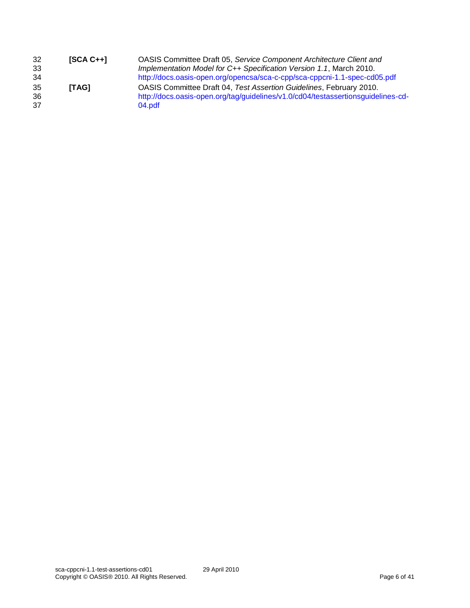<span id="page-5-1"></span><span id="page-5-0"></span>

| 32<br>33<br>34 | $[SCA C++]$  | OASIS Committee Draft 05, Service Component Architecture Client and<br>Implementation Model for C++ Specification Version 1.1, March 2010.<br>http://docs.oasis-open.org/opencsa/sca-c-cpp/sca-cppcni-1.1-spec-cd05.pdf |
|----------------|--------------|-------------------------------------------------------------------------------------------------------------------------------------------------------------------------------------------------------------------------|
| 35<br>36<br>37 | <b>ITAG1</b> | OASIS Committee Draft 04, Test Assertion Guidelines, February 2010.<br>http://docs.oasis-open.org/tag/guidelines/v1.0/cd04/testassertionsguidelines-cd-<br>04.pdf                                                       |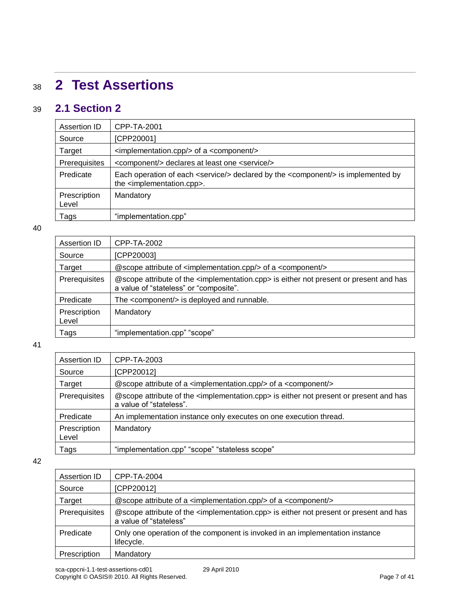# <span id="page-6-0"></span><sup>38</sup> **2 Test Assertions**

### 39 **2.1 Section 2**

<span id="page-6-1"></span>

| Assertion ID          | CPP-TA-2001                                                                                                                                            |
|-----------------------|--------------------------------------------------------------------------------------------------------------------------------------------------------|
| Source                | [CPP20001]                                                                                                                                             |
| Target                | <implementation.cpp></implementation.cpp> of a <component></component>                                                                                 |
| Prerequisites         | <component></component> declares at least one <service></service>                                                                                      |
| Predicate             | Each operation of each <service></service> declared by the <component></component> is implemented by<br>the <implementation.cpp>.</implementation.cpp> |
| Prescription<br>Level | Mandatory                                                                                                                                              |
| Tags                  | "implementation.cpp"                                                                                                                                   |

#### 40

| Assertion ID          | CPP-TA-2002                                                                                                                                           |
|-----------------------|-------------------------------------------------------------------------------------------------------------------------------------------------------|
| Source                | [CPP20003]                                                                                                                                            |
| Target                | @scope attribute of <implementation.cpp></implementation.cpp> of a <component></component>                                                            |
| Prerequisites         | @scope attribute of the <implementation.cpp> is either not present or present and has<br/>a value of "stateless" or "composite".</implementation.cpp> |
| Predicate             | The <component></component> is deployed and runnable.                                                                                                 |
| Prescription<br>Level | Mandatory                                                                                                                                             |
| Tags                  | "implementation.cpp" "scope"                                                                                                                          |

#### 41

| Assertion ID          | CPP-TA-2003                                                                                                                            |
|-----------------------|----------------------------------------------------------------------------------------------------------------------------------------|
| Source                | [CPP20012]                                                                                                                             |
| Target                | @scope attribute of a <implementation.cpp></implementation.cpp> of a <component></component>                                           |
| Prerequisites         | @scope attribute of the <implementation.cpp> is either not present or present and has<br/>a value of "stateless".</implementation.cpp> |
| Predicate             | An implementation instance only executes on one execution thread.                                                                      |
| Prescription<br>Level | Mandatory                                                                                                                              |
| Tags                  | "implementation.cpp" "scope" "stateless scope"                                                                                         |

| Assertion ID  | CPP-TA-2004                                                                                                                           |  |
|---------------|---------------------------------------------------------------------------------------------------------------------------------------|--|
| Source        | [CPP20012]                                                                                                                            |  |
| Target        | @scope attribute of a <implementation.cpp></implementation.cpp> of a <component></component>                                          |  |
| Prerequisites | @scope attribute of the <implementation.cpp> is either not present or present and has<br/>a value of "stateless"</implementation.cpp> |  |
| Predicate     | Only one operation of the component is invoked in an implementation instance<br>lifecycle.                                            |  |
| Prescription  | Mandatory                                                                                                                             |  |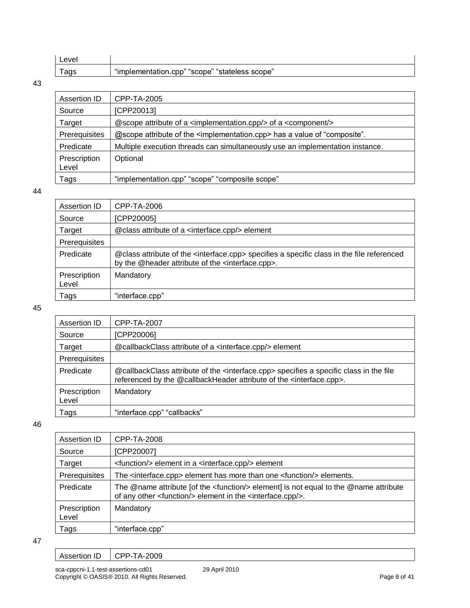| _evel |                                                                                   |
|-------|-----------------------------------------------------------------------------------|
| Tags  | .cpp" "scope'<br>"imn<br>" "stateless<br>scope <sup>®</sup><br>tation.<br>าเemeni |

| Assertion ID          | CPP-TA-2005                                                                                   |
|-----------------------|-----------------------------------------------------------------------------------------------|
| Source                | [CPP20013]                                                                                    |
| Target                | @scope attribute of a <implementation.cpp></implementation.cpp> of a <component></component>  |
| Prerequisites         | @scope attribute of the <implementation.cpp> has a value of "composite".</implementation.cpp> |
| Predicate             | Multiple execution threads can simultaneously use an implementation instance.                 |
| Prescription<br>Level | Optional                                                                                      |
| Tags                  | "implementation.cpp" "scope" "composite scope"                                                |

#### 44

| Assertion ID          | CPP-TA-2006                                                                                                                                                                    |
|-----------------------|--------------------------------------------------------------------------------------------------------------------------------------------------------------------------------|
| Source                | [CPP20005]                                                                                                                                                                     |
| Target                | @class attribute of a <interface.cpp></interface.cpp> element                                                                                                                  |
| Prerequisites         |                                                                                                                                                                                |
| Predicate             | @class attribute of the <interface.cpp> specifies a specific class in the file referenced<br/>by the @header attribute of the <interface.cpp>.</interface.cpp></interface.cpp> |
| Prescription<br>Level | Mandatory                                                                                                                                                                      |
| Tags                  | "interface.cpp"                                                                                                                                                                |

#### 45

| Assertion ID          | CPP-TA-2007                                                                                                                                                                                    |
|-----------------------|------------------------------------------------------------------------------------------------------------------------------------------------------------------------------------------------|
| Source                | [CPP20006]                                                                                                                                                                                     |
| Target                | @callbackClass attribute of a <interface.cpp></interface.cpp> element                                                                                                                          |
| Prerequisites         |                                                                                                                                                                                                |
| Predicate             | @callbackClass attribute of the <interface.cpp> specifies a specific class in the file<br/>referenced by the @callbackHeader attribute of the <interface.cpp>.</interface.cpp></interface.cpp> |
| Prescription<br>Level | Mandatory                                                                                                                                                                                      |
| Tags                  | "interface.cpp" "callbacks"                                                                                                                                                                    |

#### 46

| Assertion ID          | CPP-TA-2008                                                                                                                                                                           |
|-----------------------|---------------------------------------------------------------------------------------------------------------------------------------------------------------------------------------|
| Source                | [CPP20007]                                                                                                                                                                            |
| Target                | <function></function> element in a <interface.cpp></interface.cpp> element                                                                                                            |
| Prerequisites         | The <interface.cpp> element has more than one <function></function> elements.</interface.cpp>                                                                                         |
| Predicate             | The @name attribute [of the <function></function> element] is not equal to the @name attribute<br>of any other <function></function> element in the <interface.cpp></interface.cpp> . |
| Prescription<br>Level | Mandatory                                                                                                                                                                             |
| Tags                  | "interface.cpp"                                                                                                                                                                       |

| Assertion ID | $\mid$ CPP-TA-2009 |
|--------------|--------------------|
|              |                    |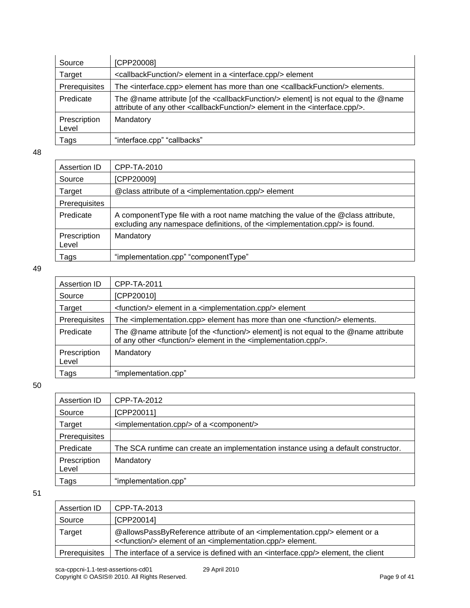| Source                | [CPP20008]                                                                                                                                                                                                   |
|-----------------------|--------------------------------------------------------------------------------------------------------------------------------------------------------------------------------------------------------------|
| Target                | <callbackfunction></callbackfunction> element in a <interface.cpp></interface.cpp> element                                                                                                                   |
| Prerequisites         | The <interface.cpp> element has more than one <callbackfunction></callbackfunction> elements.</interface.cpp>                                                                                                |
| Predicate             | The @name attribute [of the $\leq$ callbackFunction/ $>$ element] is not equal to the @name<br>attribute of any other <callbackfunction></callbackfunction> element in the <interface.cpp></interface.cpp> . |
| Prescription<br>Level | Mandatory                                                                                                                                                                                                    |
| Tags                  | "interface.cpp" "callbacks"                                                                                                                                                                                  |

| Assertion ID          | CPP-TA-2010                                                                                                                                                                           |
|-----------------------|---------------------------------------------------------------------------------------------------------------------------------------------------------------------------------------|
| Source                | [CPP20009]                                                                                                                                                                            |
| Target                | @ class attribute of a <implementation.cpp></implementation.cpp> element                                                                                                              |
| Prerequisites         |                                                                                                                                                                                       |
| Predicate             | A component Type file with a root name matching the value of the @class attribute,<br>excluding any namespace definitions, of the <implementation.cpp></implementation.cpp> is found. |
| Prescription<br>Level | Mandatory                                                                                                                                                                             |
| Tags                  | "implementation.cpp" "componentType"                                                                                                                                                  |

#### 49

| Assertion ID          | CPP-TA-2011                                                                                                                                                                                     |
|-----------------------|-------------------------------------------------------------------------------------------------------------------------------------------------------------------------------------------------|
| Source                | [CPP20010]                                                                                                                                                                                      |
| Target                | $\epsilon$ -function/> element in a $\epsilon$ implementation.cpp/> element                                                                                                                     |
| Prerequisites         | The <implementation.cpp> element has more than one <function></function> elements.</implementation.cpp>                                                                                         |
| Predicate             | The @name attribute [of the <function></function> element] is not equal to the @name attribute<br>of any other <function></function> element in the <implementation.cpp></implementation.cpp> . |
| Prescription<br>Level | Mandatory                                                                                                                                                                                       |
| Tags                  | "implementation.cpp"                                                                                                                                                                            |

#### 50

| Assertion ID          | CPP-TA-2012                                                                        |
|-----------------------|------------------------------------------------------------------------------------|
| Source                | [CPP20011]                                                                         |
| Target                | $\leq$ implementation.cpp/ $>$ of a $\leq$ component/ $>$                          |
| Prerequisites         |                                                                                    |
| Predicate             | The SCA runtime can create an implementation instance using a default constructor. |
| Prescription<br>Level | Mandatory                                                                          |
| Tags                  | "implementation.cpp"                                                               |

| @allowsPassByReference attribute of an <implementation.cpp></implementation.cpp> element or a<br><< function /> element of an <implementation.cpp></implementation.cpp> element. |
|----------------------------------------------------------------------------------------------------------------------------------------------------------------------------------|
| The interface of a service is defined with an <interface.cpp></interface.cpp> element, the client                                                                                |
|                                                                                                                                                                                  |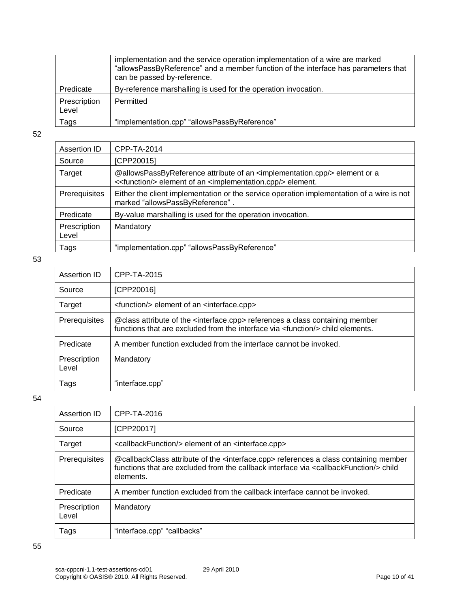|                       | implementation and the service operation implementation of a wire are marked<br>"allowsPassByReference" and a member function of the interface has parameters that<br>can be passed by-reference. |
|-----------------------|---------------------------------------------------------------------------------------------------------------------------------------------------------------------------------------------------|
| Predicate             | By-reference marshalling is used for the operation invocation.                                                                                                                                    |
| Prescription<br>Level | Permitted                                                                                                                                                                                         |
| Tags                  | "implementation.cpp" "allowsPassByReference"                                                                                                                                                      |

| Assertion ID          | CPP-TA-2014                                                                                                                                                                      |
|-----------------------|----------------------------------------------------------------------------------------------------------------------------------------------------------------------------------|
| Source                | [CPP20015]                                                                                                                                                                       |
| Target                | @allowsPassByReference attribute of an <implementation.cpp></implementation.cpp> element or a<br><< function /> element of an <implementation.cpp></implementation.cpp> element. |
| Prerequisites         | Either the client implementation or the service operation implementation of a wire is not<br>marked "allowsPassByReference".                                                     |
| Predicate             | By-value marshalling is used for the operation invocation.                                                                                                                       |
| Prescription<br>Level | Mandatory                                                                                                                                                                        |
| Tags                  | "implementation.cpp" "allowsPassByReference"                                                                                                                                     |

#### 53

| Assertion ID          | CPP-TA-2015                                                                                                                                                                               |
|-----------------------|-------------------------------------------------------------------------------------------------------------------------------------------------------------------------------------------|
| Source                | [CPP20016]                                                                                                                                                                                |
| Target                | <function></function> element of an <interface.cpp></interface.cpp>                                                                                                                       |
| Prerequisites         | @class attribute of the <interface.cpp> references a class containing member<br/>functions that are excluded from the interface via <function></function> child elements.</interface.cpp> |
| Predicate             | A member function excluded from the interface cannot be invoked.                                                                                                                          |
| Prescription<br>Level | Mandatory                                                                                                                                                                                 |
| Tags                  | "interface.cpp"                                                                                                                                                                           |

| Assertion ID          | CPP-TA-2016                                                                                                                                                                                                                    |
|-----------------------|--------------------------------------------------------------------------------------------------------------------------------------------------------------------------------------------------------------------------------|
| Source                | [CPP20017]                                                                                                                                                                                                                     |
| Target                | <callbackfunction></callbackfunction> element of an <interface.cpp></interface.cpp>                                                                                                                                            |
| Prerequisites         | @callbackClass attribute of the <interface.cpp> references a class containing member<br/>functions that are excluded from the callback interface via <callbackfunction></callbackfunction> child<br/>elements.</interface.cpp> |
| Predicate             | A member function excluded from the callback interface cannot be invoked.                                                                                                                                                      |
| Prescription<br>Level | Mandatory                                                                                                                                                                                                                      |
| Tags                  | "interface.cpp" "callbacks"                                                                                                                                                                                                    |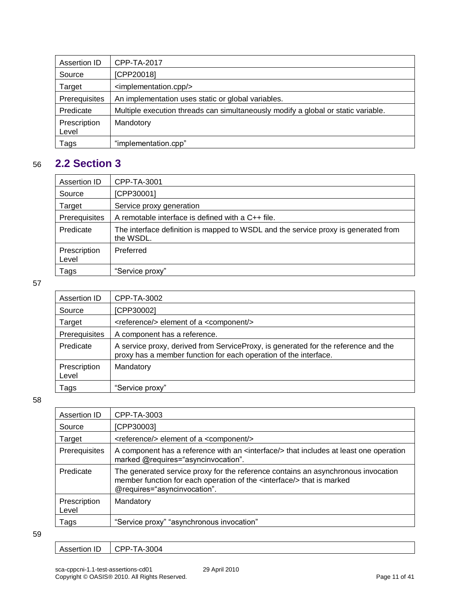| Assertion ID          | CPP-TA-2017                                                                       |
|-----------------------|-----------------------------------------------------------------------------------|
| Source                | [CPP20018]                                                                        |
| Target                | <implementation.cpp></implementation.cpp>                                         |
| Prerequisites         | An implementation uses static or global variables.                                |
| Predicate             | Multiple execution threads can simultaneously modify a global or static variable. |
| Prescription<br>Level | Mandotory                                                                         |
| Tags                  | "implementation.cpp"                                                              |

### <span id="page-10-0"></span>56 **2.2 Section 3**

| Assertion ID          | CPP-TA-3001                                                                                     |
|-----------------------|-------------------------------------------------------------------------------------------------|
| Source                | [CPP30001]                                                                                      |
| Target                | Service proxy generation                                                                        |
| Prerequisites         | A remotable interface is defined with a $C++$ file.                                             |
| Predicate             | The interface definition is mapped to WSDL and the service proxy is generated from<br>the WSDL. |
| Prescription<br>Level | Preferred                                                                                       |
| Tags                  | "Service proxy"                                                                                 |

#### 57

| Assertion ID          | CPP-TA-3002                                                                                                                                            |
|-----------------------|--------------------------------------------------------------------------------------------------------------------------------------------------------|
| Source                | [CPP30002]                                                                                                                                             |
| Target                | <reference></reference> element of a <component></component>                                                                                           |
| Prerequisites         | A component has a reference.                                                                                                                           |
| Predicate             | A service proxy, derived from ServiceProxy, is generated for the reference and the<br>proxy has a member function for each operation of the interface. |
| Prescription<br>Level | Mandatory                                                                                                                                              |
| Tags                  | "Service proxy"                                                                                                                                        |

#### 58

| Assertion ID          | CPP-TA-3003                                                                                                                                                                                           |
|-----------------------|-------------------------------------------------------------------------------------------------------------------------------------------------------------------------------------------------------|
| Source                | [CPP30003]                                                                                                                                                                                            |
| Target                | <reference></reference> element of a <component></component>                                                                                                                                          |
| Prerequisites         | A component has a reference with an <interface></interface> that includes at least one operation<br>marked @requires="asyncinvocation".                                                               |
| Predicate             | The generated service proxy for the reference contains an asynchronous invocation<br>member function for each operation of the <interface></interface> that is marked<br>@requires="asyncinvocation". |
| Prescription<br>Level | Mandatory                                                                                                                                                                                             |
| Tags                  | "Service proxy" "asynchronous invocation"                                                                                                                                                             |

| Assertion ID   CPP-TA-3004 |
|----------------------------|
|                            |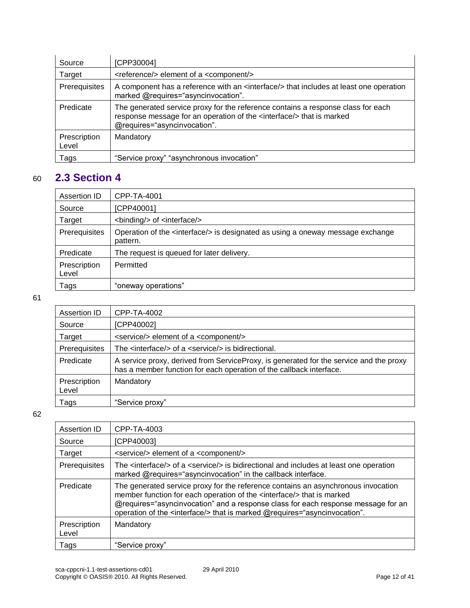| Source                | [CPP30004]                                                                                                                                                                                          |
|-----------------------|-----------------------------------------------------------------------------------------------------------------------------------------------------------------------------------------------------|
| Target                | <reference></reference> element of a <component></component>                                                                                                                                        |
| Prerequisites         | A component has a reference with an <interface></interface> that includes at least one operation<br>marked @requires="asyncinvocation".                                                             |
| Predicate             | The generated service proxy for the reference contains a response class for each<br>response message for an operation of the <interface></interface> that is marked<br>@requires="asyncinvocation". |
| Prescription<br>Level | Mandatory                                                                                                                                                                                           |
| Tags                  | "Service proxy" "asynchronous invocation"                                                                                                                                                           |

### <span id="page-11-0"></span>60 **2.3 Section 4**

| Assertion ID          | CPP-TA-4001                                                                                           |
|-----------------------|-------------------------------------------------------------------------------------------------------|
| Source                | [CPP40001]                                                                                            |
| Target                | <binding></binding> of <interface></interface>                                                        |
| Prerequisites         | Operation of the <interface></interface> is designated as using a oneway message exchange<br>pattern. |
| Predicate             | The request is queued for later delivery.                                                             |
| Prescription<br>Level | Permitted                                                                                             |
| Tags                  | "oneway operations"                                                                                   |

#### 61

| Assertion ID          | CPP-TA-4002                                                                                                                                                   |
|-----------------------|---------------------------------------------------------------------------------------------------------------------------------------------------------------|
| Source                | [CPP40002]                                                                                                                                                    |
| Target                | <service></service> element of a <component></component>                                                                                                      |
| Prerequisites         | The $\langle$ interface/ $>$ of a $\langle$ service/ $>$ is bidirectional.                                                                                    |
| Predicate             | A service proxy, derived from ServiceProxy, is generated for the service and the proxy<br>has a member function for each operation of the callback interface. |
| Prescription<br>Level | Mandatory                                                                                                                                                     |
| Tags                  | "Service proxy"                                                                                                                                               |

| Assertion ID          | CPP-TA-4003                                                                                                                                                                                                                                                                                                                                        |
|-----------------------|----------------------------------------------------------------------------------------------------------------------------------------------------------------------------------------------------------------------------------------------------------------------------------------------------------------------------------------------------|
| Source                | [CPP40003]                                                                                                                                                                                                                                                                                                                                         |
| Target                | <service></service> element of a <component></component>                                                                                                                                                                                                                                                                                           |
| Prerequisites         | The <interface></interface> of a <service></service> is bidirectional and includes at least one operation<br>marked @requires="asyncinvocation" in the callback interface.                                                                                                                                                                         |
| Predicate             | The generated service proxy for the reference contains an asynchronous invocation<br>member function for each operation of the <interface></interface> that is marked<br>@requires="asyncinvocation" and a response class for each response message for an<br>operation of the <interface></interface> that is marked @requires="asyncinvocation". |
| Prescription<br>Level | Mandatory                                                                                                                                                                                                                                                                                                                                          |
| Tags                  | "Service proxy"                                                                                                                                                                                                                                                                                                                                    |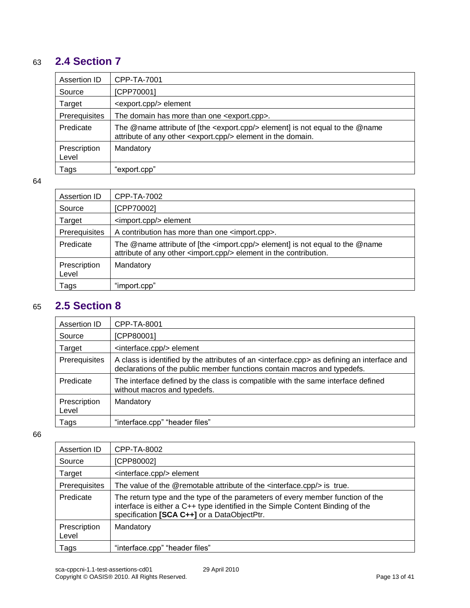### 63 **2.4 Section 7**

<span id="page-12-0"></span>

| Assertion ID          | CPP-TA-7001                                                                                                                                                         |
|-----------------------|---------------------------------------------------------------------------------------------------------------------------------------------------------------------|
| Source                | [CPP70001]                                                                                                                                                          |
| Target                | <export.cpp></export.cpp> element                                                                                                                                   |
| Prerequisites         | The domain has more than one <export.cpp>.</export.cpp>                                                                                                             |
| Predicate             | The @name attribute of [the <export.cpp></export.cpp> element] is not equal to the @name<br>attribute of any other <export.cpp></export.cpp> element in the domain. |
| Prescription<br>Level | Mandatory                                                                                                                                                           |
| Tags                  | "export.cpp"                                                                                                                                                        |

#### 64

| Assertion ID          | CPP-TA-7002                                                                                                                                                                     |
|-----------------------|---------------------------------------------------------------------------------------------------------------------------------------------------------------------------------|
| Source                | [CPP70002]                                                                                                                                                                      |
| Target                | <import.cpp></import.cpp> element                                                                                                                                               |
| Prerequisites         | A contribution has more than one <import.cpp>.</import.cpp>                                                                                                                     |
| Predicate             | The $@$ name attribute of [the <import.cpp></import.cpp> element] is not equal to the $@$ name<br>attribute of any other <import.cpp></import.cpp> element in the contribution. |
| Prescription<br>Level | Mandatory                                                                                                                                                                       |
| Tags                  | "import.cpp"                                                                                                                                                                    |

### <span id="page-12-1"></span>65 **2.5 Section 8**

| Assertion ID          | CPP-TA-8001                                                                                                                                                                             |
|-----------------------|-----------------------------------------------------------------------------------------------------------------------------------------------------------------------------------------|
| Source                | [CPP80001]                                                                                                                                                                              |
| Target                | <interface.cpp></interface.cpp> element                                                                                                                                                 |
| Prerequisites         | A class is identified by the attributes of an <interface.cpp> as defining an interface and<br/>declarations of the public member functions contain macros and typedefs.</interface.cpp> |
| Predicate             | The interface defined by the class is compatible with the same interface defined<br>without macros and typedefs.                                                                        |
| Prescription<br>Level | Mandatory                                                                                                                                                                               |
| Tags                  | "interface.cpp" "header files"                                                                                                                                                          |

| Assertion ID          | CPP-TA-8002                                                                                                                                                                                                     |
|-----------------------|-----------------------------------------------------------------------------------------------------------------------------------------------------------------------------------------------------------------|
| Source                | [CPP80002]                                                                                                                                                                                                      |
| Target                | <interface.cpp></interface.cpp> element                                                                                                                                                                         |
| Prerequisites         | The value of the @remotable attribute of the <interface.cpp></interface.cpp> is true.                                                                                                                           |
| Predicate             | The return type and the type of the parameters of every member function of the<br>interface is either a C++ type identified in the Simple Content Binding of the<br>specification [SCA C++] or a DataObjectPtr. |
| Prescription<br>Level | Mandatory                                                                                                                                                                                                       |
| Tags                  | "interface.cpp" "header files"                                                                                                                                                                                  |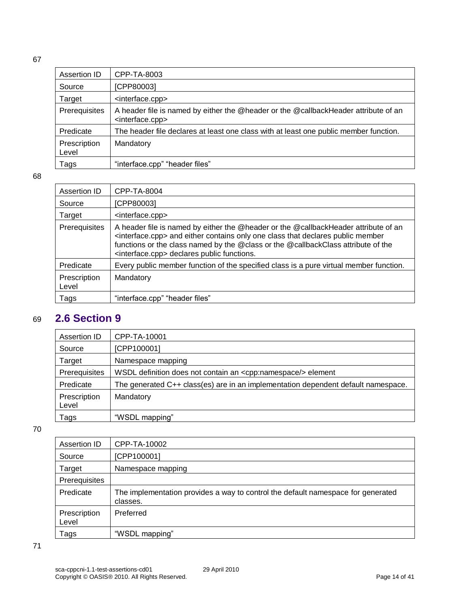| Assertion ID          | CPP-TA-8003                                                                                                            |
|-----------------------|------------------------------------------------------------------------------------------------------------------------|
| Source                | [CPP80003]                                                                                                             |
| Target                | <interface.cpp></interface.cpp>                                                                                        |
| Prerequisites         | A header file is named by either the @header or the @callbackHeader attribute of an<br><interface.cpp></interface.cpp> |
| Predicate             | The header file declares at least one class with at least one public member function.                                  |
| Prescription<br>Level | Mandatory                                                                                                              |
| Tags                  | "interface.cpp" "header files"                                                                                         |

68

| Assertion ID          | CPP-TA-8004                                                                                                                                                                                                                                                                                                                                |
|-----------------------|--------------------------------------------------------------------------------------------------------------------------------------------------------------------------------------------------------------------------------------------------------------------------------------------------------------------------------------------|
| Source                | [CPP80003]                                                                                                                                                                                                                                                                                                                                 |
| Target                | <interface.cpp></interface.cpp>                                                                                                                                                                                                                                                                                                            |
| Prerequisites         | A header file is named by either the @header or the @callbackHeader attribute of an<br><interface.cpp> and either contains only one class that declares public member<br/>functions or the class named by the @class or the @callbackClass attribute of the<br/><interface.cpp> declares public functions.</interface.cpp></interface.cpp> |
| Predicate             | Every public member function of the specified class is a pure virtual member function.                                                                                                                                                                                                                                                     |
| Prescription<br>Level | Mandatory                                                                                                                                                                                                                                                                                                                                  |
| Tags                  | "interface.cpp" "header files"                                                                                                                                                                                                                                                                                                             |

# <span id="page-13-0"></span>69 **2.6 Section 9**

| Assertion ID          | CPP-TA-10001                                                                      |
|-----------------------|-----------------------------------------------------------------------------------|
| Source                | [CPP100001]                                                                       |
| Target                | Namespace mapping                                                                 |
| Prerequisites         | WSDL definition does not contain an <cpp:namespace></cpp:namespace> element       |
| Predicate             | The generated C++ class(es) are in an implementation dependent default namespace. |
| Prescription<br>Level | Mandatory                                                                         |
| Tags                  | "WSDL mapping"                                                                    |

70

| Assertion ID          | CPP-TA-10002                                                                                 |
|-----------------------|----------------------------------------------------------------------------------------------|
| Source                | [CPP100001]                                                                                  |
| Target                | Namespace mapping                                                                            |
| Prerequisites         |                                                                                              |
| Predicate             | The implementation provides a way to control the default namespace for generated<br>classes. |
| Prescription<br>Level | Preferred                                                                                    |
| Tags                  | "WSDL mapping"                                                                               |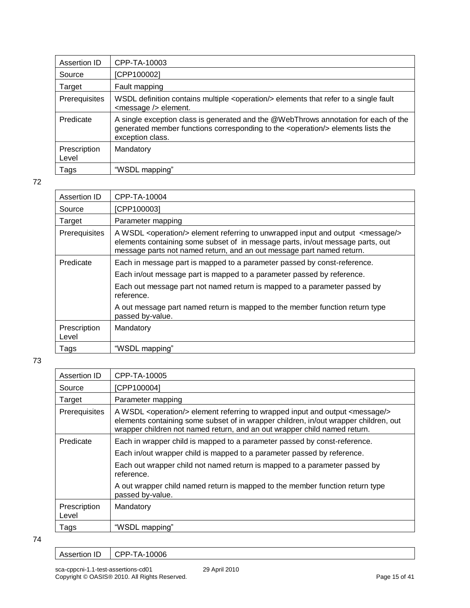| Assertion ID          | CPP-TA-10003                                                                                                                                                                                          |
|-----------------------|-------------------------------------------------------------------------------------------------------------------------------------------------------------------------------------------------------|
| Source                | [CPP100002]                                                                                                                                                                                           |
| Target                | Fault mapping                                                                                                                                                                                         |
| Prerequisites         | WSDL definition contains multiple <operation></operation> elements that refer to a single fault<br><message></message> element.                                                                       |
| Predicate             | A single exception class is generated and the @WebThrows annotation for each of the<br>generated member functions corresponding to the <operation></operation> elements lists the<br>exception class. |
| Prescription<br>Level | Mandatory                                                                                                                                                                                             |
| Tags                  | "WSDL mapping"                                                                                                                                                                                        |

| Assertion ID          | CPP-TA-10004                                                                                                                                                                                                                                                  |
|-----------------------|---------------------------------------------------------------------------------------------------------------------------------------------------------------------------------------------------------------------------------------------------------------|
| Source                | [CPP100003]                                                                                                                                                                                                                                                   |
| Target                | Parameter mapping                                                                                                                                                                                                                                             |
| Prerequisites         | A WSDL <operation></operation> element referring to unwrapped input and output <message></message><br>elements containing some subset of in message parts, in/out message parts, out<br>message parts not named return, and an out message part named return. |
| Predicate             | Each in message part is mapped to a parameter passed by const-reference.                                                                                                                                                                                      |
|                       | Each in/out message part is mapped to a parameter passed by reference.                                                                                                                                                                                        |
|                       | Each out message part not named return is mapped to a parameter passed by<br>reference.                                                                                                                                                                       |
|                       | A out message part named return is mapped to the member function return type<br>passed by-value.                                                                                                                                                              |
| Prescription<br>Level | Mandatory                                                                                                                                                                                                                                                     |
| Tags                  | "WSDL mapping"                                                                                                                                                                                                                                                |

73

| Assertion ID          | CPP-TA-10005                                                                                                                                                                                                                                                          |
|-----------------------|-----------------------------------------------------------------------------------------------------------------------------------------------------------------------------------------------------------------------------------------------------------------------|
| Source                | ICPP1000041                                                                                                                                                                                                                                                           |
| Target                | Parameter mapping                                                                                                                                                                                                                                                     |
| Prerequisites         | A WSDL <operation></operation> element referring to wrapped input and output <message></message><br>elements containing some subset of in wrapper children, in/out wrapper children, out<br>wrapper children not named return, and an out wrapper child named return. |
| Predicate             | Each in wrapper child is mapped to a parameter passed by const-reference.                                                                                                                                                                                             |
|                       | Each in/out wrapper child is mapped to a parameter passed by reference.                                                                                                                                                                                               |
|                       | Each out wrapper child not named return is mapped to a parameter passed by<br>reference.                                                                                                                                                                              |
|                       | A out wrapper child named return is mapped to the member function return type<br>passed by-value.                                                                                                                                                                     |
| Prescription<br>Level | Mandatory                                                                                                                                                                                                                                                             |
| Tags                  | "WSDL mapping"                                                                                                                                                                                                                                                        |

| Assertion ID | CPP-TA-10006 |
|--------------|--------------|
|--------------|--------------|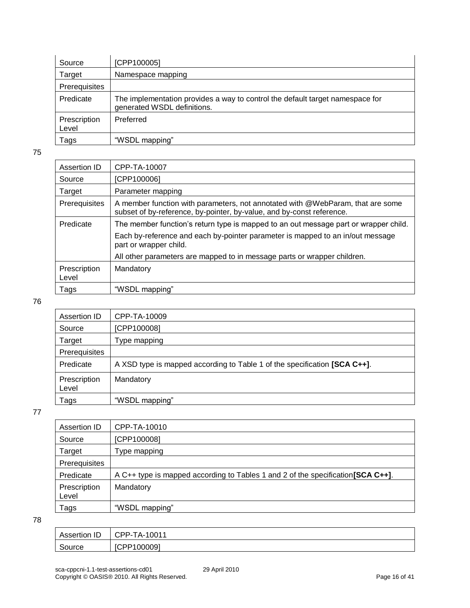| Source                | [CPP100005]                                                                                                  |
|-----------------------|--------------------------------------------------------------------------------------------------------------|
| Target                | Namespace mapping                                                                                            |
| Prerequisites         |                                                                                                              |
| Predicate             | The implementation provides a way to control the default target namespace for<br>generated WSDL definitions. |
| Prescription<br>Level | Preferred                                                                                                    |
| Tags                  | "WSDL mapping"                                                                                               |

| Assertion ID          | CPP-TA-10007                                                                                                                                            |
|-----------------------|---------------------------------------------------------------------------------------------------------------------------------------------------------|
| Source                | [CPP100006]                                                                                                                                             |
| Target                | Parameter mapping                                                                                                                                       |
| Prerequisites         | A member function with parameters, not annotated with @WebParam, that are some<br>subset of by-reference, by-pointer, by-value, and by-const reference. |
| Predicate             | The member function's return type is mapped to an out message part or wrapper child.                                                                    |
|                       | Each by-reference and each by-pointer parameter is mapped to an in/out message<br>part or wrapper child.                                                |
|                       | All other parameters are mapped to in message parts or wrapper children.                                                                                |
| Prescription<br>Level | Mandatory                                                                                                                                               |
| Tags                  | "WSDL mapping"                                                                                                                                          |

#### 76

| Assertion ID          | CPP-TA-10009                                                              |
|-----------------------|---------------------------------------------------------------------------|
| Source                | [CPP100008]                                                               |
| Target                | Type mapping                                                              |
| Prerequisites         |                                                                           |
| Predicate             | A XSD type is mapped according to Table 1 of the specification [SCA C++]. |
| Prescription<br>Level | Mandatory                                                                 |
| Tags                  | "WSDL mapping"                                                            |

#### 77

| Assertion ID          | CPP-TA-10010                                                                     |
|-----------------------|----------------------------------------------------------------------------------|
| Source                | [CPP100008]                                                                      |
| Target                | Type mapping                                                                     |
| Prerequisites         |                                                                                  |
| Predicate             | A C++ type is mapped according to Tables 1 and 2 of the specification [SCA C++]. |
| Prescription<br>Level | Mandatory                                                                        |
| Tags                  | "WSDL mapping"                                                                   |

| <b>Assertion ID</b> | CPP-TA-10011 |
|---------------------|--------------|
| Source              | ICPP1000091  |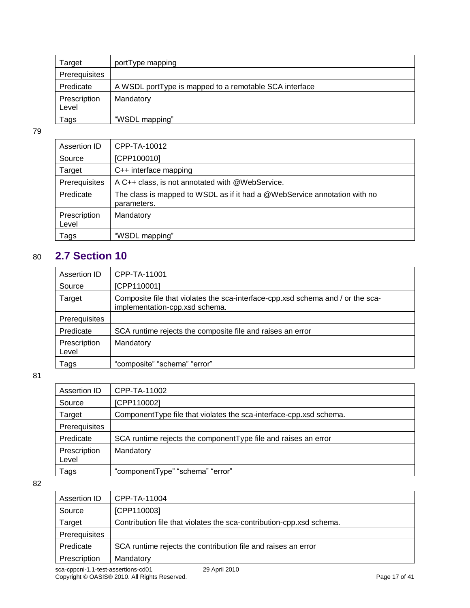| Target                | portType mapping                                       |
|-----------------------|--------------------------------------------------------|
| Prerequisites         |                                                        |
| Predicate             | A WSDL portType is mapped to a remotable SCA interface |
| Prescription<br>Level | Mandatory                                              |
| Tags                  | "WSDL mapping"                                         |

| Assertion ID          | CPP-TA-10012                                                                                |
|-----------------------|---------------------------------------------------------------------------------------------|
| Source                | [CPP100010]                                                                                 |
| Target                | C++ interface mapping                                                                       |
| Prerequisites         | A C++ class, is not annotated with @WebService.                                             |
| Predicate             | The class is mapped to WSDL as if it had a $@$ WebService annotation with no<br>parameters. |
| Prescription<br>Level | Mandatory                                                                                   |
| Tags                  | "WSDL mapping"                                                                              |

# <span id="page-16-0"></span>80 **2.7 Section 10**

| Assertion ID          | CPP-TA-11001                                                                                                      |
|-----------------------|-------------------------------------------------------------------------------------------------------------------|
| Source                | [CPP110001]                                                                                                       |
| Target                | Composite file that violates the sca-interface-cpp.xsd schema and / or the sca-<br>implementation-cpp.xsd schema. |
| Prerequisites         |                                                                                                                   |
| Predicate             | SCA runtime rejects the composite file and raises an error                                                        |
| Prescription<br>Level | Mandatory                                                                                                         |
| Tags                  | "composite" "schema" "error"                                                                                      |

81

| Assertion ID          | CPP-TA-11002                                                        |
|-----------------------|---------------------------------------------------------------------|
| Source                | [CPP110002]                                                         |
| Target                | Component Type file that violates the sca-interface-cpp.xsd schema. |
| Prerequisites         |                                                                     |
| Predicate             | SCA runtime rejects the componentType file and raises an error      |
| Prescription<br>Level | Mandatory                                                           |
| Tags                  | "componentType" "schema" "error"                                    |

| Assertion ID  | CPP-TA-11004                                                         |
|---------------|----------------------------------------------------------------------|
| Source        | [CPP110003]                                                          |
| Target        | Contribution file that violates the sca-contribution-cpp.xsd schema. |
| Prerequisites |                                                                      |
| Predicate     | SCA runtime rejects the contribution file and raises an error        |
| Prescription  | Mandatory                                                            |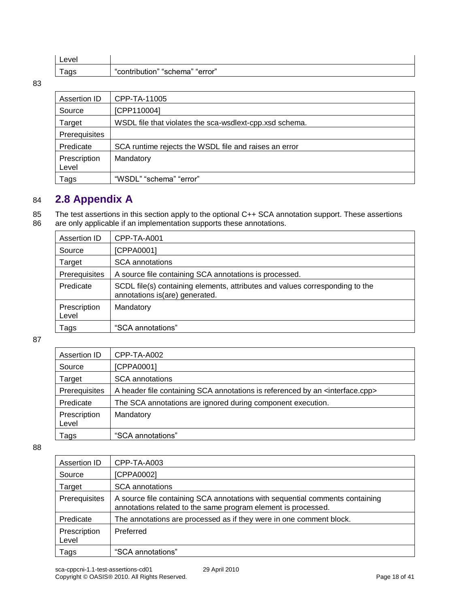| ∟evel                |                                                 |
|----------------------|-------------------------------------------------|
| $-$<br>$\sim$ $\sim$ | "contrib<br>a" "error"<br>ຸ" "<br>шог<br>ם ווסו |

| Assertion ID          | CPP-TA-11005                                            |
|-----------------------|---------------------------------------------------------|
| Source                | [CPP110004]                                             |
| Target                | WSDL file that violates the sca-wsdlext-cpp.xsd schema. |
| Prerequisites         |                                                         |
| Predicate             | SCA runtime rejects the WSDL file and raises an error   |
| Prescription<br>Level | Mandatory                                               |
| Tags                  | "WSDL" "schema" "error"                                 |

### <span id="page-17-0"></span>84 **2.8 Appendix A**

85 The test assertions in this section apply to the optional C++ SCA annotation support. These assertions

86 are only applicable if an implementation supports these annotations.

| Assertion ID          | CPP-TA-A001                                                                                                    |
|-----------------------|----------------------------------------------------------------------------------------------------------------|
| Source                | [CPPA0001]                                                                                                     |
| Target                | <b>SCA</b> annotations                                                                                         |
| Prerequisites         | A source file containing SCA annotations is processed.                                                         |
| Predicate             | SCDL file(s) containing elements, attributes and values corresponding to the<br>annotations is(are) generated. |
| Prescription<br>Level | Mandatory                                                                                                      |
| Tags                  | "SCA annotations"                                                                                              |

87

| Assertion ID          | CPP-TA-A002                                                                                  |
|-----------------------|----------------------------------------------------------------------------------------------|
| Source                | [CPPA0001]                                                                                   |
| Target                | <b>SCA</b> annotations                                                                       |
| Prerequisites         | A header file containing SCA annotations is referenced by an <interface.cpp></interface.cpp> |
| Predicate             | The SCA annotations are ignored during component execution.                                  |
| Prescription<br>Level | Mandatory                                                                                    |
| Tags                  | "SCA annotations"                                                                            |

| Assertion ID          | CPP-TA-A003                                                                                                                                   |
|-----------------------|-----------------------------------------------------------------------------------------------------------------------------------------------|
| Source                | [CPPA0002]                                                                                                                                    |
| Target                | <b>SCA</b> annotations                                                                                                                        |
| Prerequisites         | A source file containing SCA annotations with sequential comments containing<br>annotations related to the same program element is processed. |
| Predicate             | The annotations are processed as if they were in one comment block.                                                                           |
| Prescription<br>Level | Preferred                                                                                                                                     |
| Tags                  | "SCA annotations"                                                                                                                             |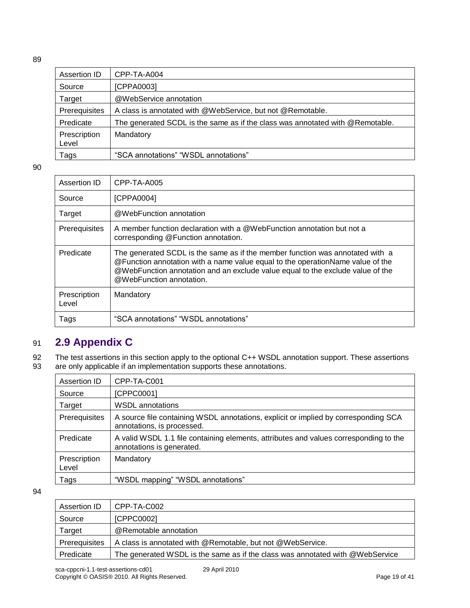| Assertion ID          | CPP-TA-A004                                                                      |
|-----------------------|----------------------------------------------------------------------------------|
| Source                | [CPPA0003]                                                                       |
| Target                | @WebService annotation                                                           |
| Prerequisites         | A class is annotated with @WebService, but not @Remotable.                       |
| Predicate             | The generated SCDL is the same as if the class was annotated with $@$ Remotable. |
| Prescription<br>Level | Mandatory                                                                        |
| Tags                  | "SCA annotations" "WSDL annotations"                                             |

| Assertion ID          | CPP-TA-A005                                                                                                                                                                                                                                                                   |
|-----------------------|-------------------------------------------------------------------------------------------------------------------------------------------------------------------------------------------------------------------------------------------------------------------------------|
| Source                | [CPPA0004]                                                                                                                                                                                                                                                                    |
| Target                | @WebFunction annotation                                                                                                                                                                                                                                                       |
| Prerequisites         | A member function declaration with a @WebFunction annotation but not a<br>corresponding @Function annotation.                                                                                                                                                                 |
| Predicate             | The generated SCDL is the same as if the member function was annotated with a<br>@Function annotation with a name value equal to the operationName value of the<br>@WebFunction annotation and an exclude value equal to the exclude value of the<br>@WebFunction annotation. |
| Prescription<br>Level | Mandatory                                                                                                                                                                                                                                                                     |
| Tags                  | "SCA annotations" "WSDL annotations"                                                                                                                                                                                                                                          |

### <span id="page-18-0"></span>91 **2.9 Appendix C**

92 The test assertions in this section apply to the optional C++ WSDL annotation support. These assertions 93 are only applicable if an implementation supports these annotations. are only applicable if an implementation supports these annotations.

| Assertion ID          | CPP-TA-C001                                                                                                        |
|-----------------------|--------------------------------------------------------------------------------------------------------------------|
| Source                | [CPPC0001]                                                                                                         |
| Target                | <b>WSDL</b> annotations                                                                                            |
| Prerequisites         | A source file containing WSDL annotations, explicit or implied by corresponding SCA<br>annotations, is processed.  |
| Predicate             | A valid WSDL 1.1 file containing elements, attributes and values corresponding to the<br>annotations is generated. |
| Prescription<br>Level | Mandatory                                                                                                          |
| Tags                  | "WSDL mapping" "WSDL annotations"                                                                                  |

| Assertion ID  | CPP-TA-C002                                                                   |
|---------------|-------------------------------------------------------------------------------|
| Source        | [CPPC0002]                                                                    |
| Target        | @Remotable annotation                                                         |
| Prerequisites | A class is annotated with @Remotable, but not @WebService.                    |
| Predicate     | The generated WSDL is the same as if the class was annotated with @WebService |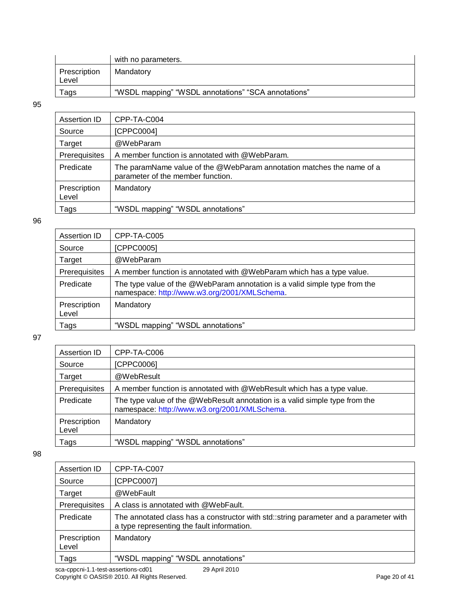|                       | with no parameters.                                 |
|-----------------------|-----------------------------------------------------|
| Prescription<br>Level | Mandatory                                           |
| Tags                  | "WSDL mapping" "WSDL annotations" "SCA annotations" |

| Assertion ID          | CPP-TA-C004                                                                                                |
|-----------------------|------------------------------------------------------------------------------------------------------------|
| Source                | [CPPC0004]                                                                                                 |
| Target                | @WebParam                                                                                                  |
| Prerequisites         | A member function is annotated with @WebParam.                                                             |
| Predicate             | The paramName value of the @WebParam annotation matches the name of a<br>parameter of the member function. |
| Prescription<br>Level | Mandatory                                                                                                  |
| Tags                  | "WSDL mapping" "WSDL annotations"                                                                          |

#### 96

| Assertion ID          | CPP-TA-C005                                                                                                                |
|-----------------------|----------------------------------------------------------------------------------------------------------------------------|
| Source                | [CPPC0005]                                                                                                                 |
| Target                | @WebParam                                                                                                                  |
| Prerequisites         | A member function is annotated with @WebParam which has a type value.                                                      |
| Predicate             | The type value of the @WebParam annotation is a valid simple type from the<br>namespace: http://www.w3.org/2001/XMLSchema. |
| Prescription<br>Level | Mandatory                                                                                                                  |
| Tags                  | "WSDL mapping" "WSDL annotations"                                                                                          |

97

| Assertion ID          | CPP-TA-C006                                                                                                                 |
|-----------------------|-----------------------------------------------------------------------------------------------------------------------------|
| Source                | [CPPC0006]                                                                                                                  |
| Target                | @WebResult                                                                                                                  |
| Prerequisites         | A member function is annotated with @WebResult which has a type value.                                                      |
| Predicate             | The type value of the @WebResult annotation is a valid simple type from the<br>namespace: http://www.w3.org/2001/XMLSchema. |
| Prescription<br>Level | Mandatory                                                                                                                   |
| Tags                  | "WSDL mapping" "WSDL annotations"                                                                                           |

| Assertion ID          | CPP-TA-C007                                                                                                                         |
|-----------------------|-------------------------------------------------------------------------------------------------------------------------------------|
| Source                | [CPPC0007]                                                                                                                          |
| Target                | @WebFault                                                                                                                           |
| Prerequisites         | A class is annotated with @WebFault.                                                                                                |
| Predicate             | The annotated class has a constructor with std::string parameter and a parameter with<br>a type representing the fault information. |
| Prescription<br>Level | Mandatory                                                                                                                           |
| Tags                  | "WSDL mapping" "WSDL annotations"                                                                                                   |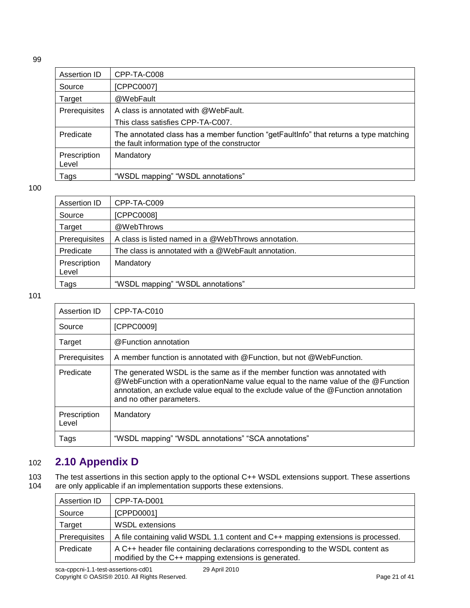| Assertion ID          | CPP-TA-C008                                                                                                                              |
|-----------------------|------------------------------------------------------------------------------------------------------------------------------------------|
| Source                | [CPPC0007]                                                                                                                               |
| Target                | @WebFault                                                                                                                                |
| Prerequisites         | A class is annotated with @WebFault.                                                                                                     |
|                       | This class satisfies CPP-TA-C007.                                                                                                        |
| Predicate             | The annotated class has a member function "get Fault Info" that returns a type matching<br>the fault information type of the constructor |
| Prescription<br>Level | Mandatory                                                                                                                                |
| Tags                  | "WSDL mapping" "WSDL annotations"                                                                                                        |

| Assertion ID          | CPP-TA-C009                                         |
|-----------------------|-----------------------------------------------------|
| Source                | [CPPC0008]                                          |
| Target                | @WebThrows                                          |
| Prerequisites         | A class is listed named in a @WebThrows annotation. |
| Predicate             | The class is annotated with a @WebFault annotation. |
| Prescription<br>Level | Mandatory                                           |
| Tags                  | "WSDL mapping" "WSDL annotations"                   |

101

| Assertion ID          | CPP-TA-C010                                                                                                                                                                                                                                                                        |
|-----------------------|------------------------------------------------------------------------------------------------------------------------------------------------------------------------------------------------------------------------------------------------------------------------------------|
| Source                | [CPPC0009]                                                                                                                                                                                                                                                                         |
| Target                | @Function annotation                                                                                                                                                                                                                                                               |
| Prerequisites         | A member function is annotated with @Function, but not @WebFunction.                                                                                                                                                                                                               |
| Predicate             | The generated WSDL is the same as if the member function was annotated with<br>@WebFunction with a operationName value equal to the name value of the @Function<br>annotation, an exclude value equal to the exclude value of the @Function annotation<br>and no other parameters. |
| Prescription<br>Level | Mandatory                                                                                                                                                                                                                                                                          |
| Tags                  | "WSDL mapping" "WSDL annotations" "SCA annotations"                                                                                                                                                                                                                                |

# <span id="page-20-0"></span>102 **2.10 Appendix D**

103 The test assertions in this section apply to the optional C++ WSDL extensions support. These assertions 104 are only applicable if an implementation supports these extensions. are only applicable if an implementation supports these extensions.

| Assertion ID  | CPP-TA-D001                                                                                                                            |
|---------------|----------------------------------------------------------------------------------------------------------------------------------------|
| Source        | [CPPD0001]                                                                                                                             |
| Target        | <b>WSDL</b> extensions                                                                                                                 |
| Prerequisites | A file containing valid WSDL 1.1 content and C++ mapping extensions is processed.                                                      |
| Predicate     | A C++ header file containing declarations corresponding to the WSDL content as<br>modified by the C++ mapping extensions is generated. |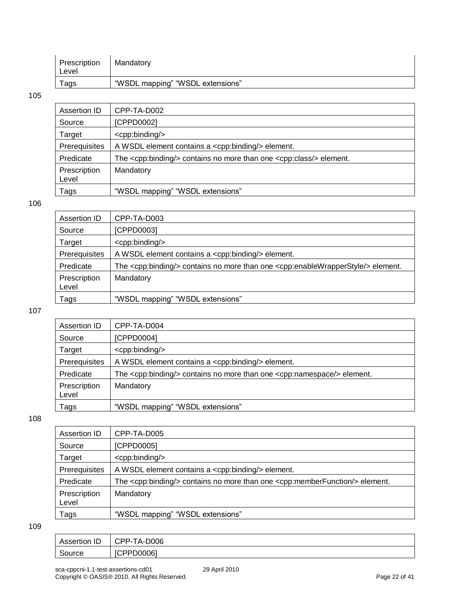| Prescription<br>Level | Mandatory                        |
|-----------------------|----------------------------------|
| Tags                  | "WSDL mapping" "WSDL extensions" |

| Assertion ID          | CPP-TA-D002                                                                                |
|-----------------------|--------------------------------------------------------------------------------------------|
| Source                | [CPPD0002]                                                                                 |
| Target                | <cpp:binding></cpp:binding>                                                                |
| Prerequisites         | A WSDL element contains a <cpp:binding></cpp:binding> element.                             |
| Predicate             | The $\langle$ cpp:binding/ $>$ contains no more than one $\langle$ cpp:class/ $>$ element. |
| Prescription<br>Level | Mandatory                                                                                  |
| Tags                  | "WSDL mapping" "WSDL extensions"                                                           |

#### 106

| Assertion ID          | CPP-TA-D003                                                                                                          |
|-----------------------|----------------------------------------------------------------------------------------------------------------------|
| Source                | [CPPD0003]                                                                                                           |
| Target                | <cpp:binding></cpp:binding>                                                                                          |
| Prerequisites         | A WSDL element contains a <cpp:binding></cpp:binding> element.                                                       |
| Predicate             | The <cpp:binding></cpp:binding> contains no more than one <cpp:enablewrapperstyle></cpp:enablewrapperstyle> element. |
| Prescription<br>Level | Mandatory                                                                                                            |
| Tags                  | "WSDL mapping" "WSDL extensions"                                                                                     |

#### 107

| Assertion ID          | CPP-TA-D004                                                                                        |
|-----------------------|----------------------------------------------------------------------------------------------------|
| Source                | [CPPD0004]                                                                                         |
| Target                | <cpp:binding></cpp:binding>                                                                        |
| Prerequisites         | A WSDL element contains a <cpp:binding></cpp:binding> element.                                     |
| Predicate             | The <cpp:binding></cpp:binding> contains no more than one <cpp:namespace></cpp:namespace> element. |
| Prescription<br>Level | Mandatory                                                                                          |
| Tags                  | "WSDL mapping" "WSDL extensions"                                                                   |

108

| Assertion ID          | CPP-TA-D005                                                                                         |
|-----------------------|-----------------------------------------------------------------------------------------------------|
| Source                | [CPPD0005]                                                                                          |
| Target                | <cpp:binding></cpp:binding>                                                                         |
| Prerequisites         | A WSDL element contains a <cpp:binding></cpp:binding> element.                                      |
| Predicate             | The $\langle$ cpp:binding/ $>$ contains no more than one $\langle$ cpp:memberFunction/ $>$ element. |
| Prescription<br>Level | Mandatory                                                                                           |
| Tags                  | "WSDL mapping" "WSDL extensions"                                                                    |

| <b>Assertion ID</b> | A-D006<br><u>'</u> CPP-1.            |
|---------------------|--------------------------------------|
| Source              | <b>J00061</b><br>$\mathbf{r}$<br>טש. |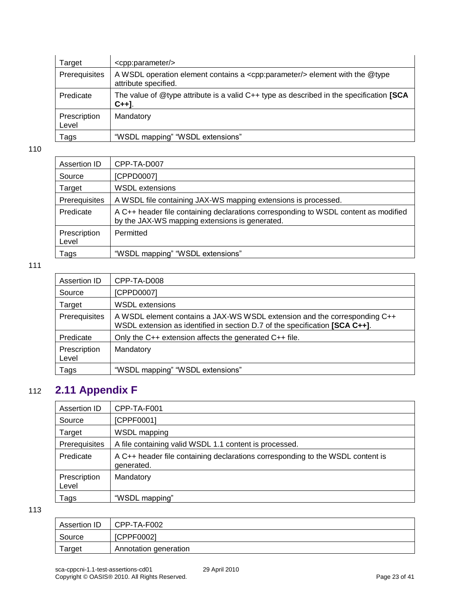| Target                | <cpp:parameter></cpp:parameter>                                                                                     |
|-----------------------|---------------------------------------------------------------------------------------------------------------------|
| Prerequisites         | A WSDL operation element contains a <cpp:parameter></cpp:parameter> externed with the @type<br>attribute specified. |
| Predicate             | The value of @type attribute is a valid $C++$ type as described in the specification [SCA<br>$C_{++}$ ].            |
| Prescription<br>Level | Mandatory                                                                                                           |
| Tags                  | "WSDL mapping" "WSDL extensions"                                                                                    |

| Assertion ID          | CPP-TA-D007                                                                                                                           |
|-----------------------|---------------------------------------------------------------------------------------------------------------------------------------|
| Source                | [CPPD0007]                                                                                                                            |
| Target                | <b>WSDL</b> extensions                                                                                                                |
| Prerequisites         | A WSDL file containing JAX-WS mapping extensions is processed.                                                                        |
| Predicate             | A C++ header file containing declarations corresponding to WSDL content as modified<br>by the JAX-WS mapping extensions is generated. |
| Prescription<br>Level | Permitted                                                                                                                             |
| Tags                  | "WSDL mapping" "WSDL extensions"                                                                                                      |

#### 111

| Assertion ID          | CPP-TA-D008                                                                                                                                              |
|-----------------------|----------------------------------------------------------------------------------------------------------------------------------------------------------|
| Source                | [CPPD0007]                                                                                                                                               |
| Target                | <b>WSDL</b> extensions                                                                                                                                   |
| Prerequisites         | A WSDL element contains a JAX-WS WSDL extension and the corresponding C++<br>WSDL extension as identified in section D.7 of the specification [SCA C++]. |
| Predicate             | Only the $C_{++}$ extension affects the generated $C_{++}$ file.                                                                                         |
| Prescription<br>Level | Mandatory                                                                                                                                                |
| Tags                  | "WSDL mapping" "WSDL extensions"                                                                                                                         |

# 112 **2.11 Appendix F**

<span id="page-22-0"></span>

| Assertion ID          | CPP-TA-F001                                                                                  |
|-----------------------|----------------------------------------------------------------------------------------------|
| Source                | [CPPF0001]                                                                                   |
| Target                | WSDL mapping                                                                                 |
| Prerequisites         | A file containing valid WSDL 1.1 content is processed.                                       |
| Predicate             | A C++ header file containing declarations corresponding to the WSDL content is<br>generated. |
| Prescription<br>Level | Mandatory                                                                                    |
| Tags                  | "WSDL mapping"                                                                               |

| Assertion ID | CPP-TA-F002           |
|--------------|-----------------------|
| Source       | [CPPF0002]            |
| Target       | Annotation generation |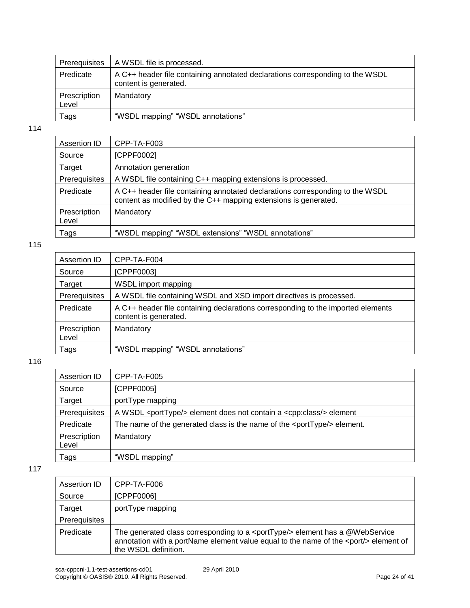| Prerequisites         | A WSDL file is processed.                                                                              |
|-----------------------|--------------------------------------------------------------------------------------------------------|
| Predicate             | A C++ header file containing annotated declarations corresponding to the WSDL<br>content is generated. |
| Prescription<br>Level | Mandatory                                                                                              |
| Tags                  | "WSDL mapping" "WSDL annotations"                                                                      |

| Assertion ID          | CPP-TA-F003                                                                                                                                      |  |
|-----------------------|--------------------------------------------------------------------------------------------------------------------------------------------------|--|
| Source                | [CPPF0002]                                                                                                                                       |  |
| Target                | Annotation generation                                                                                                                            |  |
| Prerequisites         | A WSDL file containing C++ mapping extensions is processed.                                                                                      |  |
| Predicate             | A C++ header file containing annotated declarations corresponding to the WSDL<br>content as modified by the C++ mapping extensions is generated. |  |
| Prescription<br>Level | Mandatory                                                                                                                                        |  |
| Tags                  | "WSDL mapping" "WSDL extensions" "WSDL annotations"                                                                                              |  |

#### 115

| Assertion ID          | CPP-TA-F004                                                                                               |
|-----------------------|-----------------------------------------------------------------------------------------------------------|
| Source                | [CPPF0003]                                                                                                |
| Target                | WSDL import mapping                                                                                       |
| Prerequisites         | A WSDL file containing WSDL and XSD import directives is processed.                                       |
| Predicate             | A C++ header file containing declarations corresponding to the imported elements<br>content is generated. |
| Prescription<br>Level | Mandatory                                                                                                 |
| Tags                  | "WSDL mapping" "WSDL annotations"                                                                         |

#### 116

| Assertion ID          | CPP-TA-F005                                                                             |
|-----------------------|-----------------------------------------------------------------------------------------|
| Source                | [CPPF0005]                                                                              |
| Target                | portType mapping                                                                        |
| Prerequisites         | A WSDL <porttype></porttype> element does not contain a <cpp:class></cpp:class> element |
| Predicate             | The name of the generated class is the name of the <porttype></porttype> element.       |
| Prescription<br>Level | Mandatory                                                                               |
| Tags                  | "WSDL mapping"                                                                          |

| Assertion ID  | CPP-TA-F006                                                                                                                                                                                                  |
|---------------|--------------------------------------------------------------------------------------------------------------------------------------------------------------------------------------------------------------|
| Source        | [CPPF0006]                                                                                                                                                                                                   |
| Target        | portType mapping                                                                                                                                                                                             |
| Prerequisites |                                                                                                                                                                                                              |
| Predicate     | The generated class corresponding to a <porttype></porttype> element has a @WebService<br>annotation with a portName element value equal to the name of the <port></port> element of<br>the WSDL definition. |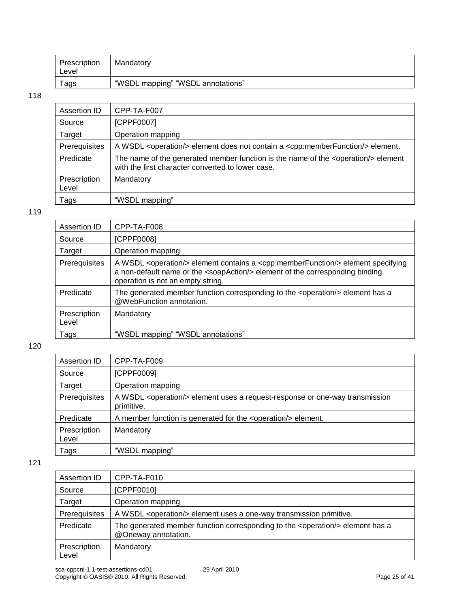| Prescription<br>Level | Mandatory                         |
|-----------------------|-----------------------------------|
| Tags                  | "WSDL mapping" "WSDL annotations" |

| Assertion ID          | CPP-TA-F007                                                                                                                                       |
|-----------------------|---------------------------------------------------------------------------------------------------------------------------------------------------|
| Source                | [CPPF0007]                                                                                                                                        |
| Target                | Operation mapping                                                                                                                                 |
| Prerequisites         | A WSDL <operation></operation> element does not contain a <cpp:memberfunction></cpp:memberfunction> element.                                      |
| Predicate             | The name of the generated member function is the name of the <operation></operation> element<br>with the first character converted to lower case. |
| Prescription<br>Level | Mandatory                                                                                                                                         |
| Tags                  | "WSDL mapping"                                                                                                                                    |

#### 119

| Assertion ID          | CPP-TA-F008                                                                                                                                                                                                                                     |
|-----------------------|-------------------------------------------------------------------------------------------------------------------------------------------------------------------------------------------------------------------------------------------------|
| Source                | [CPPF0008]                                                                                                                                                                                                                                      |
| Target                | Operation mapping                                                                                                                                                                                                                               |
| Prerequisites         | A WSDL <operation></operation> element contains a <cpp:memberfunction></cpp:memberfunction> element specifying<br>a non-default name or the <soapaction></soapaction> element of the corresponding binding<br>operation is not an empty string. |
| Predicate             | The generated member function corresponding to the <operation></operation> element has a<br>@WebFunction annotation.                                                                                                                            |
| Prescription<br>Level | Mandatory                                                                                                                                                                                                                                       |
| Tags                  | "WSDL mapping" "WSDL annotations"                                                                                                                                                                                                               |

120

| Assertion ID          | CPP-TA-F009                                                                                          |
|-----------------------|------------------------------------------------------------------------------------------------------|
| Source                | [CPPF0009]                                                                                           |
| Target                | Operation mapping                                                                                    |
| Prerequisites         | A WSDL <operation></operation> element uses a request-response or one-way transmission<br>primitive. |
| Predicate             | A member function is generated for the <operation></operation> element.                              |
| Prescription<br>Level | Mandatory                                                                                            |
| Tags                  | "WSDL mapping"                                                                                       |

| Assertion ID          | CPP-TA-F010                                                                                                     |
|-----------------------|-----------------------------------------------------------------------------------------------------------------|
| Source                | [CPPF0010]                                                                                                      |
| Target                | Operation mapping                                                                                               |
| Prerequisites         | A WSDL <operation></operation> element uses a one-way transmission primitive.                                   |
| Predicate             | The generated member function corresponding to the <operation></operation> element has a<br>@Oneway annotation. |
| Prescription<br>Level | Mandatory                                                                                                       |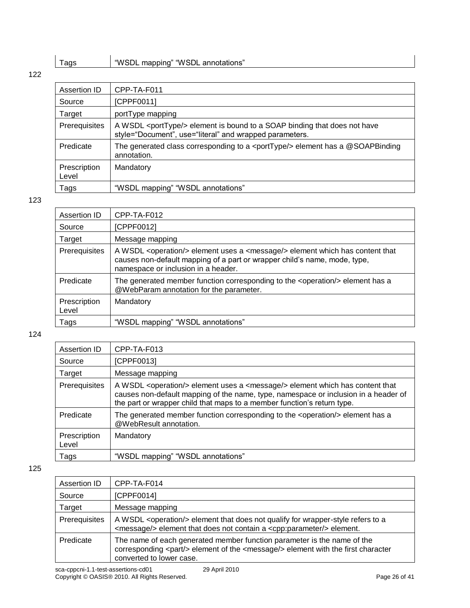| Tags | "WSDL mapping" "WSDL annotations" |
|------|-----------------------------------|

| Assertion ID          | CPP-TA-F011                                                                                                                                   |
|-----------------------|-----------------------------------------------------------------------------------------------------------------------------------------------|
| Source                | [CPPF0011]                                                                                                                                    |
| Target                | portType mapping                                                                                                                              |
| Prerequisites         | A WSDL <porttype></porttype> element is bound to a SOAP binding that does not have<br>style="Document", use="literal" and wrapped parameters. |
| Predicate             | The generated class corresponding to a <porttype></porttype> element has a @SOAPBinding<br>annotation.                                        |
| Prescription<br>Level | Mandatory                                                                                                                                     |
| Tags                  | "WSDL mapping" "WSDL annotations"                                                                                                             |

#### 123

| Assertion ID          | CPP-TA-F012                                                                                                                                                                                                          |
|-----------------------|----------------------------------------------------------------------------------------------------------------------------------------------------------------------------------------------------------------------|
| Source                | [CPPF0012]                                                                                                                                                                                                           |
| Target                | Message mapping                                                                                                                                                                                                      |
| Prerequisites         | A WSDL <operation></operation> element uses a <message></message> element which has content that<br>causes non-default mapping of a part or wrapper child's name, mode, type,<br>namespace or inclusion in a header. |
| Predicate             | The generated member function corresponding to the <operation></operation> element has a<br>@WebParam annotation for the parameter.                                                                                  |
| Prescription<br>Level | Mandatory                                                                                                                                                                                                            |
| Tags                  | "WSDL mapping" "WSDL annotations"                                                                                                                                                                                    |
|                       |                                                                                                                                                                                                                      |

124

| Assertion ID          | CPP-TA-F013                                                                                                                                                                                                                                                        |
|-----------------------|--------------------------------------------------------------------------------------------------------------------------------------------------------------------------------------------------------------------------------------------------------------------|
| Source                | [CPPPF0013]                                                                                                                                                                                                                                                        |
| Target                | Message mapping                                                                                                                                                                                                                                                    |
| Prerequisites         | A WSDL <operation></operation> element uses a <message></message> element which has content that<br>causes non-default mapping of the name, type, namespace or inclusion in a header of<br>the part or wrapper child that maps to a member function's return type. |
| Predicate             | The generated member function corresponding to the <operation></operation> element has a<br>@WebResult annotation.                                                                                                                                                 |
| Prescription<br>Level | Mandatory                                                                                                                                                                                                                                                          |
| Tags                  | "WSDL mapping" "WSDL annotations"                                                                                                                                                                                                                                  |

| Assertion ID  | CPP-TA-F014                                                                                                                                                                                            |
|---------------|--------------------------------------------------------------------------------------------------------------------------------------------------------------------------------------------------------|
| Source        | [CPPF0014]                                                                                                                                                                                             |
| Target        | Message mapping                                                                                                                                                                                        |
| Prerequisites | A WSDL <operation></operation> element that does not qualify for wrapper-style refers to a<br><message></message> element that does not contain a <cpp:parameter></cpp:parameter> element.             |
| Predicate     | The name of each generated member function parameter is the name of the<br>corresponding <part></part> element of the <message></message> element with the first character<br>converted to lower case. |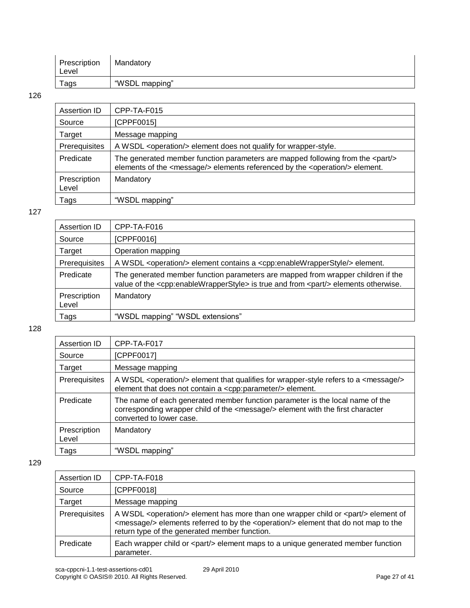| Prescription<br>Level | Mandatory      |
|-----------------------|----------------|
| Tags                  | "WSDL mapping" |

| Assertion ID          | CPP-TA-F015                                                                                                                                                                             |
|-----------------------|-----------------------------------------------------------------------------------------------------------------------------------------------------------------------------------------|
| Source                | [CPPF0015]                                                                                                                                                                              |
| Target                | Message mapping                                                                                                                                                                         |
| Prerequisites         | A WSDL <operation></operation> element does not qualify for wrapper-style.                                                                                                              |
| Predicate             | The generated member function parameters are mapped following from the <part></part><br>elements of the <message></message> elements referenced by the <operation></operation> element. |
| Prescription<br>Level | Mandatory                                                                                                                                                                               |
| Tags                  | "WSDL mapping"                                                                                                                                                                          |

#### 127

| Assertion ID          | CPP-TA-F016                                                                                                                                                                                         |
|-----------------------|-----------------------------------------------------------------------------------------------------------------------------------------------------------------------------------------------------|
| Source                | [CPPF0016]                                                                                                                                                                                          |
| Target                | Operation mapping                                                                                                                                                                                   |
| Prerequisites         | A WSDL <operation></operation> element contains a <cpp:enablewrapperstyle></cpp:enablewrapperstyle> element.                                                                                        |
| Predicate             | The generated member function parameters are mapped from wrapper children if the<br>value of the <cpp:enablewrapperstyle> is true and from <part></part>lements otherwise.</cpp:enablewrapperstyle> |
| Prescription<br>Level | Mandatory                                                                                                                                                                                           |
| Tags                  | "WSDL mapping" "WSDL extensions"                                                                                                                                                                    |

128

| Assertion ID          | CPP-TA-F017                                                                                                                                                                                          |
|-----------------------|------------------------------------------------------------------------------------------------------------------------------------------------------------------------------------------------------|
| Source                | [CPPF0017]                                                                                                                                                                                           |
| Target                | Message mapping                                                                                                                                                                                      |
| Prerequisites         | A WSDL <operation></operation> element that qualifies for wrapper-style refers to a <message></message><br>element that does not contain a <cpp:parameter></cpp:parameter> belement.                 |
| Predicate             | The name of each generated member function parameter is the local name of the<br>corresponding wrapper child of the <message></message> element with the first character<br>converted to lower case. |
| Prescription<br>Level | Mandatory                                                                                                                                                                                            |
| Tags                  | "WSDL mapping"                                                                                                                                                                                       |

| Assertion ID  | CPP-TA-F018                                                                                                                                                                                                                                                         |
|---------------|---------------------------------------------------------------------------------------------------------------------------------------------------------------------------------------------------------------------------------------------------------------------|
| Source        | [CPPF0018]                                                                                                                                                                                                                                                          |
| Target        | Message mapping                                                                                                                                                                                                                                                     |
| Prerequisites | A WSDL <operation></operation> element has more than one wrapper child or <part></part> art/> element of<br><message></message> elements referred to by the <operation></operation> element that do not map to the<br>return type of the generated member function. |
| Predicate     | Each wrapper child or <part></part> element maps to a unique generated member function<br>parameter.                                                                                                                                                                |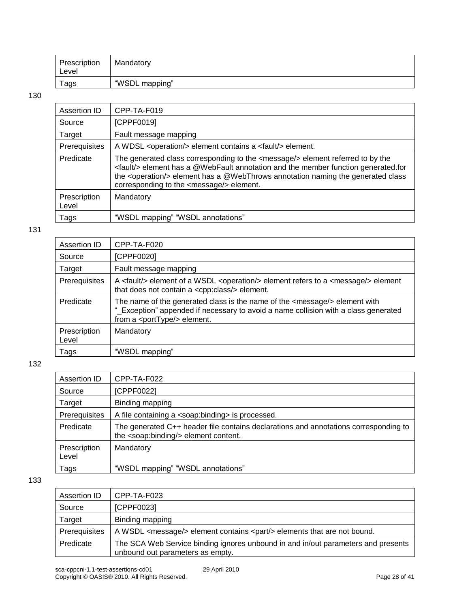| Prescription<br>Level | Mandatory      |
|-----------------------|----------------|
| Tags                  | "WSDL mapping" |

| Assertion ID          | CPP-TA-F019                                                                                                                                                                                                                                                                                                                            |
|-----------------------|----------------------------------------------------------------------------------------------------------------------------------------------------------------------------------------------------------------------------------------------------------------------------------------------------------------------------------------|
| Source                | [CPPF0019]                                                                                                                                                                                                                                                                                                                             |
| Target                | Fault message mapping                                                                                                                                                                                                                                                                                                                  |
| Prerequisites         | A WDSL <operation></operation> element contains a <fault></fault> element.                                                                                                                                                                                                                                                             |
| Predicate             | The generated class corresponding to the <message></message> element referred to by the<br><fault></fault> element has a @WebFault annotation and the member function generated.for<br>the <operation></operation> element has a @WebThrows annotation naming the generated class<br>corresponding to the <message></message> element. |
| Prescription<br>Level | Mandatory                                                                                                                                                                                                                                                                                                                              |
| Tags                  | "WSDL mapping" "WSDL annotations"                                                                                                                                                                                                                                                                                                      |

#### 131

| Assertion ID          | CPP-TA-F020                                                                                                                                                                                                         |
|-----------------------|---------------------------------------------------------------------------------------------------------------------------------------------------------------------------------------------------------------------|
| Source                | [CPPF0020]                                                                                                                                                                                                          |
| Target                | Fault message mapping                                                                                                                                                                                               |
| Prerequisites         | A <fault></fault> element of a WSDL <operation></operation> element refers to a <message></message> element<br>that does not contain a <cpp:class></cpp:class> element.                                             |
| Predicate             | The name of the generated class is the name of the <message></message> element with<br>"_Exception" appended if necessary to avoid a name collision with a class generated<br>from a <porttype></porttype> element. |
| Prescription<br>Level | Mandatory                                                                                                                                                                                                           |
| Tags                  | "WSDL mapping"                                                                                                                                                                                                      |

#### 132

| Assertion ID          | CPP-TA-F022                                                                                                                                |
|-----------------------|--------------------------------------------------------------------------------------------------------------------------------------------|
| Source                | [CPPF0022]                                                                                                                                 |
| Target                | Binding mapping                                                                                                                            |
| Prerequisites         | A file containing a <soap:binding> is processed.</soap:binding>                                                                            |
| Predicate             | The generated C++ header file contains declarations and annotations corresponding to<br>the <soap:binding></soap:binding> element content. |
| Prescription<br>Level | Mandatory                                                                                                                                  |
| Tags                  | "WSDL mapping" "WSDL annotations"                                                                                                          |

| Assertion ID  | CPP-TA-F023                                                                                                           |
|---------------|-----------------------------------------------------------------------------------------------------------------------|
| Source        | [CPPF0023]                                                                                                            |
| Target        | Binding mapping                                                                                                       |
| Prerequisites | A WSDL <message></message> element contains <part></part> art/> elements that are not bound.                          |
| Predicate     | The SCA Web Service binding ignores unbound in and in/out parameters and presents<br>unbound out parameters as empty. |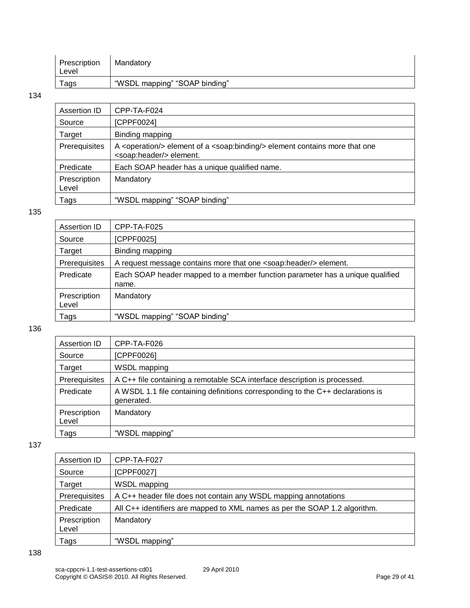| Prescription<br>Level | Mandatory                     |
|-----------------------|-------------------------------|
| Tags                  | "WSDL mapping" "SOAP binding" |

| Assertion ID          | CPP-TA-F024                                                                                                                                 |
|-----------------------|---------------------------------------------------------------------------------------------------------------------------------------------|
| Source                | [CPPF0024]                                                                                                                                  |
| Target                | Binding mapping                                                                                                                             |
| Prerequisites         | A <operation></operation> element of a <soap:binding></soap:binding> element contains more that one<br><soap:header></soap:header> element. |
| Predicate             | Each SOAP header has a unique qualified name.                                                                                               |
| Prescription<br>Level | Mandatory                                                                                                                                   |
| Tags                  | "WSDL mapping" "SOAP binding"                                                                                                               |

#### 135

| Assertion ID          | CPP-TA-F025                                                                            |
|-----------------------|----------------------------------------------------------------------------------------|
| Source                | [CPPF0025]                                                                             |
| Target                | Binding mapping                                                                        |
| Prerequisites         | A request message contains more that one <soap:header></soap:header> element.          |
| Predicate             | Each SOAP header mapped to a member function parameter has a unique qualified<br>name. |
| Prescription<br>Level | Mandatory                                                                              |
| Tags                  | "WSDL mapping" "SOAP binding"                                                          |

136

| Assertion ID          | CPP-TA-F026                                                                                   |
|-----------------------|-----------------------------------------------------------------------------------------------|
| Source                | [CPPF0026]                                                                                    |
| Target                | WSDL mapping                                                                                  |
| Prerequisites         | A C++ file containing a remotable SCA interface description is processed.                     |
| Predicate             | A WSDL 1.1 file containing definitions corresponding to the C++ declarations is<br>generated. |
| Prescription<br>Level | Mandatory                                                                                     |
| Tags                  | "WSDL mapping"                                                                                |

137

| <b>Assertion ID</b>   | CPP-TA-F027                                                                |
|-----------------------|----------------------------------------------------------------------------|
| Source                | [CPPF0027]                                                                 |
| Target                | WSDL mapping                                                               |
| Prerequisites         | A C++ header file does not contain any WSDL mapping annotations            |
| Predicate             | All C++ identifiers are mapped to XML names as per the SOAP 1.2 algorithm. |
| Prescription<br>Level | Mandatory                                                                  |
| Tags                  | "WSDL mapping"                                                             |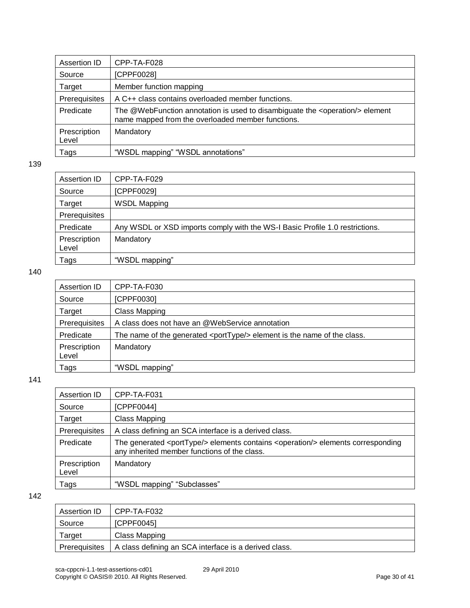| Assertion ID          | CPP-TA-F028                                                                                                                                  |
|-----------------------|----------------------------------------------------------------------------------------------------------------------------------------------|
| Source                | [CPPF0028]                                                                                                                                   |
| Target                | Member function mapping                                                                                                                      |
| Prerequisites         | A C++ class contains overloaded member functions.                                                                                            |
| Predicate             | The @WebFunction annotation is used to disambiguate the <operation></operation> element<br>name mapped from the overloaded member functions. |
| Prescription<br>Level | Mandatory                                                                                                                                    |
| Tags                  | "WSDL mapping" "WSDL annotations"                                                                                                            |

| Assertion ID          | CPP-TA-F029                                                                  |
|-----------------------|------------------------------------------------------------------------------|
| Source                | [CPPF0029]                                                                   |
| Target                | <b>WSDL Mapping</b>                                                          |
| Prerequisites         |                                                                              |
| Predicate             | Any WSDL or XSD imports comply with the WS-I Basic Profile 1.0 restrictions. |
| Prescription<br>Level | Mandatory                                                                    |
| Tags                  | "WSDL mapping"                                                               |

#### 140

| Assertion ID          | CPP-TA-F030                                                                       |
|-----------------------|-----------------------------------------------------------------------------------|
| Source                | [CPPF0030]                                                                        |
| Target                | Class Mapping                                                                     |
| Prerequisites         | A class does not have an @WebService annotation                                   |
| Predicate             | The name of the generated <porttype></porttype> element is the name of the class. |
| Prescription<br>Level | Mandatory                                                                         |
| Tags                  | "WSDL mapping"                                                                    |

#### 141

| Assertion ID          | CPP-TA-F031                                                                                                                                          |
|-----------------------|------------------------------------------------------------------------------------------------------------------------------------------------------|
| Source                | [CPPF0044]                                                                                                                                           |
| Target                | Class Mapping                                                                                                                                        |
| Prerequisites         | A class defining an SCA interface is a derived class.                                                                                                |
| Predicate             | The generated <porttype></porttype> elements contains <operation></operation> elements corresponding<br>any inherited member functions of the class. |
| Prescription<br>Level | Mandatory                                                                                                                                            |
| Tags                  | "WSDL mapping" "Subclasses"                                                                                                                          |

| Assertion ID         | CPP-TA-F032                                           |
|----------------------|-------------------------------------------------------|
| Source               | [CPPF0045]                                            |
| Target               | Class Mapping                                         |
| <b>Prerequisites</b> | A class defining an SCA interface is a derived class. |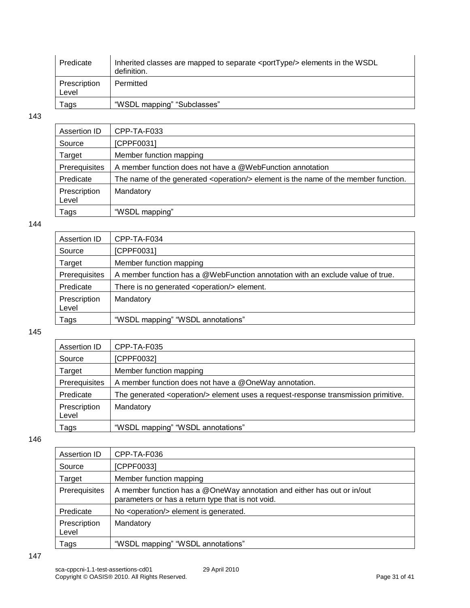| Predicate             | Inherited classes are mapped to separate <porttype></porttype> elements in the WSDL<br>definition. |
|-----------------------|----------------------------------------------------------------------------------------------------|
| Prescription<br>Level | Permitted                                                                                          |
| Tags                  | "WSDL mapping" "Subclasses"                                                                        |

| Assertion ID          | CPP-TA-F033                                                                                   |
|-----------------------|-----------------------------------------------------------------------------------------------|
| Source                | [CPPF0031]                                                                                    |
| Target                | Member function mapping                                                                       |
| Prerequisites         | A member function does not have a @WebFunction annotation                                     |
| Predicate             | The name of the generated <operation></operation> element is the name of the member function. |
| Prescription<br>Level | Mandatory                                                                                     |
| Tags                  | "WSDL mapping"                                                                                |

#### 144

| Assertion ID          | CPP-TA-F034                                                                    |
|-----------------------|--------------------------------------------------------------------------------|
| Source                | [CPPF0031]                                                                     |
| Target                | Member function mapping                                                        |
| Prerequisites         | A member function has a @WebFunction annotation with an exclude value of true. |
| Predicate             | There is no generated <operation></operation> element.                         |
| Prescription<br>Level | Mandatory                                                                      |
| Tags                  | "WSDL mapping" "WSDL annotations"                                              |

#### 145

| Assertion ID          | CPP-TA-F035                                                                                   |
|-----------------------|-----------------------------------------------------------------------------------------------|
| Source                | [CPPF0032]                                                                                    |
| Target                | Member function mapping                                                                       |
| Prerequisites         | A member function does not have a @OneWay annotation.                                         |
| Predicate             | The generated <operation></operation> element uses a request-response transmission primitive. |
| Prescription<br>Level | Mandatory                                                                                     |
| Tags                  | "WSDL mapping" "WSDL annotations"                                                             |

| Assertion ID          | CPP-TA-F036                                                                                                                  |
|-----------------------|------------------------------------------------------------------------------------------------------------------------------|
| Source                | [CPPF0033]                                                                                                                   |
| Target                | Member function mapping                                                                                                      |
| Prerequisites         | A member function has a @OneWay annotation and either has out or in/out<br>parameters or has a return type that is not void. |
| Predicate             | No <operation></operation> element is generated.                                                                             |
| Prescription<br>Level | Mandatory                                                                                                                    |
| Tags                  | "WSDL mapping" "WSDL annotations"                                                                                            |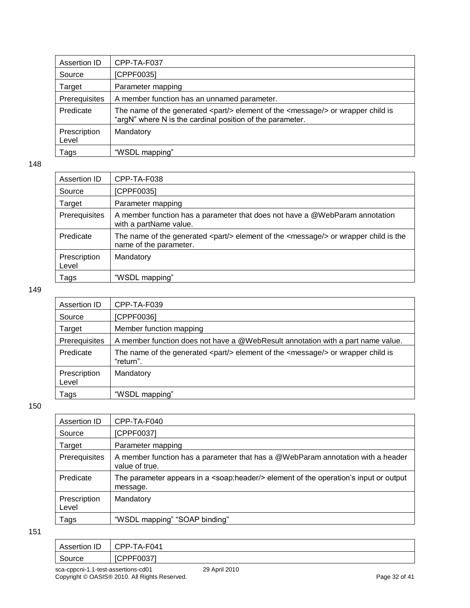| Assertion ID          | CPP-TA-F037                                                                                                                                                            |
|-----------------------|------------------------------------------------------------------------------------------------------------------------------------------------------------------------|
| Source                | [CPPF0035]                                                                                                                                                             |
| Target                | Parameter mapping                                                                                                                                                      |
| Prerequisites         | A member function has an unnamed parameter.                                                                                                                            |
| Predicate             | The name of the generated $\epsilon$ part/ $>$ element of the $\epsilon$ message/ $>$ or wrapper child is<br>"argN" where N is the cardinal position of the parameter. |
| Prescription<br>Level | Mandatory                                                                                                                                                              |
| Tags                  | "WSDL mapping"                                                                                                                                                         |

| Assertion ID          | CPP-TA-F038                                                                                                                  |
|-----------------------|------------------------------------------------------------------------------------------------------------------------------|
| Source                | [CPPF0035]                                                                                                                   |
| Target                | Parameter mapping                                                                                                            |
| Prerequisites         | A member function has a parameter that does not have a @WebParam annotation<br>with a partName value.                        |
| Predicate             | The name of the generated <part></part> element of the <message></message> or wrapper child is the<br>name of the parameter. |
| Prescription<br>Level | Mandatory                                                                                                                    |
| Tags                  | "WSDL mapping"                                                                                                               |

#### 149

| Assertion ID          | CPP-TA-F039                                                                                                            |
|-----------------------|------------------------------------------------------------------------------------------------------------------------|
| Source                | [CPPF0036]                                                                                                             |
| Target                | Member function mapping                                                                                                |
| Prerequisites         | A member function does not have a @WebResult annotation with a part name value.                                        |
| Predicate             | The name of the generated $\epsilon$ part/ $>$ element of the $\epsilon$ message/ $>$ or wrapper child is<br>"return". |
| Prescription<br>Level | Mandatory                                                                                                              |
| Tags                  | "WSDL mapping"                                                                                                         |

#### 150

| Assertion ID          | CPP-TA-F040                                                                                                   |
|-----------------------|---------------------------------------------------------------------------------------------------------------|
| Source                | [CPPF0037]                                                                                                    |
| Target                | Parameter mapping                                                                                             |
| Prerequisites         | A member function has a parameter that has a @WebParam annotation with a header<br>value of true.             |
| Predicate             | The parameter appears in a <soap:header></soap:header> element of the operation's input or output<br>message. |
| Prescription<br>Level | Mandatory                                                                                                     |
| Tags                  | "WSDL mapping" "SOAP binding"                                                                                 |

| $\sim$       | CPP-TA-F041 |
|--------------|-------------|
| <b>SUICE</b> |             |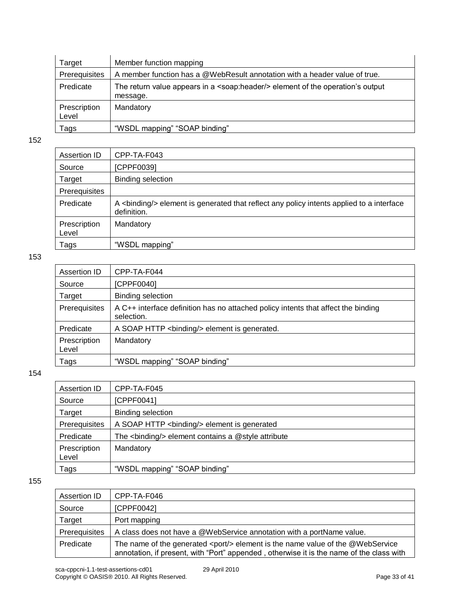| Target                | Member function mapping                                                                                 |
|-----------------------|---------------------------------------------------------------------------------------------------------|
| Prerequisites         | A member function has a @WebResult annotation with a header value of true.                              |
| Predicate             | The return value appears in a <soap:header></soap:header> element of the operation's output<br>message. |
| Prescription<br>Level | Mandatory                                                                                               |
| Tags                  | "WSDL mapping" "SOAP binding"                                                                           |

| Assertion ID          | CPP-TA-F043                                                                                               |
|-----------------------|-----------------------------------------------------------------------------------------------------------|
| Source                | [CPPF0039]                                                                                                |
| Target                | Binding selection                                                                                         |
| Prerequisites         |                                                                                                           |
| Predicate             | A<br>binding/> element is generated that reflect any policy intents applied to a interface<br>definition. |
| Prescription<br>Level | Mandatory                                                                                                 |
| Tags                  | "WSDL mapping"                                                                                            |

#### 153

| Assertion ID          | CPP-TA-F044                                                                                     |
|-----------------------|-------------------------------------------------------------------------------------------------|
| Source                | [CPPF0040]                                                                                      |
| Target                | Binding selection                                                                               |
| Prerequisites         | A C++ interface definition has no attached policy intents that affect the binding<br>selection. |
| Predicate             | A SOAP HTTP<br>binding/> element is generated.                                                  |
| Prescription<br>Level | Mandatory                                                                                       |
| Tags                  | "WSDL mapping" "SOAP binding"                                                                   |

#### 154

| Assertion ID          | CPP-TA-F045                                                         |
|-----------------------|---------------------------------------------------------------------|
| Source                | [CPPF0041]                                                          |
| Target                | Binding selection                                                   |
| Prerequisites         | A SOAP HTTP<br>binding/> element is generated                       |
| Predicate             | The $\langle$ binding $\rangle$ element contains a @style attribute |
| Prescription<br>Level | Mandatory                                                           |
| Tags                  | "WSDL mapping" "SOAP binding"                                       |

| Assertion ID  | CPP-TA-F046                                                                                                                                                                                 |
|---------------|---------------------------------------------------------------------------------------------------------------------------------------------------------------------------------------------|
| Source        | [CPPF0042]                                                                                                                                                                                  |
| Target        | Port mapping                                                                                                                                                                                |
| Prerequisites | A class does not have a @WebService annotation with a portName value.                                                                                                                       |
| Predicate     | The name of the generated $\langle$ port $\rangle$ element is the name value of the @WebService<br>annotation, if present, with "Port" appended, otherwise it is the name of the class with |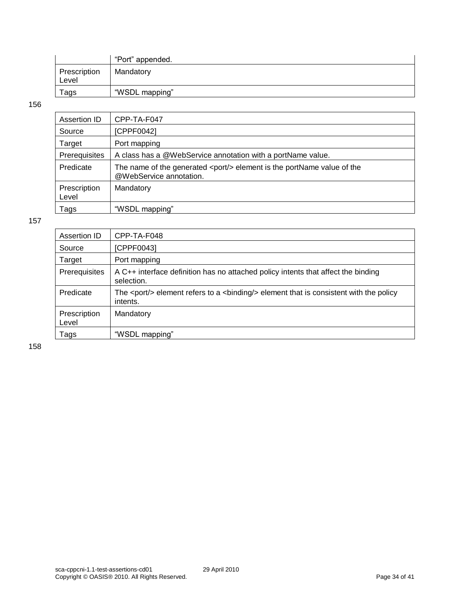|                       | "Port" appended. |
|-----------------------|------------------|
| Prescription<br>Level | Mandatory        |
| Tags                  | "WSDL mapping"   |

| Assertion ID          | CPP-TA-F047                                                                                             |
|-----------------------|---------------------------------------------------------------------------------------------------------|
| Source                | [CPPF0042]                                                                                              |
| Target                | Port mapping                                                                                            |
| Prerequisites         | A class has a @WebService annotation with a portName value.                                             |
| Predicate             | The name of the generated <port></port> element is the portName value of the<br>@WebService annotation. |
| Prescription<br>Level | Mandatory                                                                                               |
| Tags                  | "WSDL mapping"                                                                                          |

#### 157

| Assertion ID          | CPP-TA-F048                                                                                                      |
|-----------------------|------------------------------------------------------------------------------------------------------------------|
| Source                | [CPPF0043]                                                                                                       |
| Target                | Port mapping                                                                                                     |
| Prerequisites         | A C++ interface definition has no attached policy intents that affect the binding<br>selection.                  |
| Predicate             | The <port></port> element refers to a <binding></binding> element that is consistent with the policy<br>intents. |
| Prescription<br>Level | Mandatory                                                                                                        |
| Tags                  | "WSDL mapping"                                                                                                   |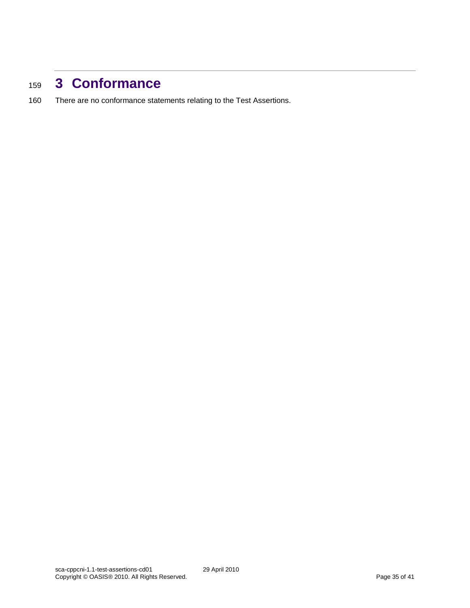# <span id="page-34-0"></span><sup>159</sup> **3 Conformance**

160 There are no conformance statements relating to the Test Assertions.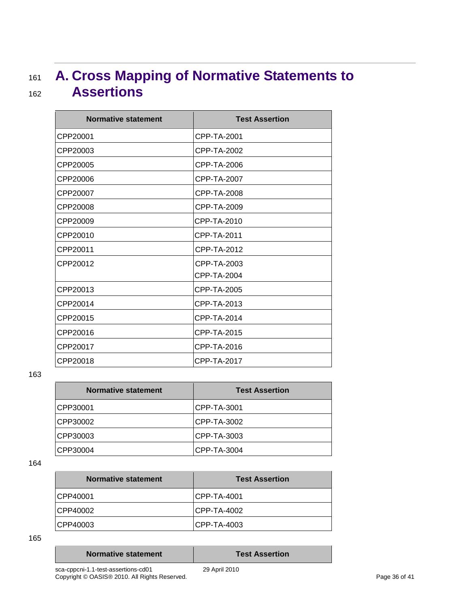# <span id="page-35-0"></span><sup>161</sup> **A. Cross Mapping of Normative Statements to**  <sup>162</sup> **Assertions**

| <b>Normative statement</b> | <b>Test Assertion</b> |
|----------------------------|-----------------------|
| CPP20001                   | CPP-TA-2001           |
| CPP20003                   | CPP-TA-2002           |
| CPP20005                   | CPP-TA-2006           |
| CPP20006                   | CPP-TA-2007           |
| CPP20007                   | CPP-TA-2008           |
| CPP20008                   | CPP-TA-2009           |
| CPP20009                   | CPP-TA-2010           |
| CPP20010                   | CPP-TA-2011           |
| CPP20011                   | CPP-TA-2012           |
| CPP20012                   | CPP-TA-2003           |
|                            | CPP-TA-2004           |
| CPP20013                   | CPP-TA-2005           |
| CPP20014                   | CPP-TA-2013           |
| CPP20015                   | CPP-TA-2014           |
| CPP20016                   | CPP-TA-2015           |
| CPP20017                   | CPP-TA-2016           |
| CPP20018                   | CPP-TA-2017           |

#### 163

| Normative statement | <b>Test Assertion</b> |
|---------------------|-----------------------|
| CPP30001            | CPP-TA-3001           |
| CPP30002            | CPP-TA-3002           |
| CPP30003            | CPP-TA-3003           |
| CPP30004            | CPP-TA-3004           |

164

| Normative statement | <b>Test Assertion</b> |
|---------------------|-----------------------|
| CPP40001            | CPP-TA-4001           |
| CPP40002            | CPP-TA-4002           |
| CPP40003            | CPP-TA-4003           |

| Normative statement | <b>Test Assertion</b> |
|---------------------|-----------------------|
|                     |                       |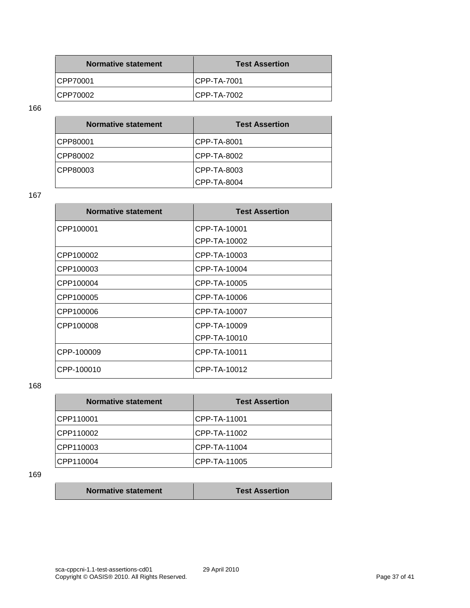| Normative statement | <b>Test Assertion</b> |
|---------------------|-----------------------|
| CPP70001            | CPP-TA-7001           |
| CPP70002            | <b>CPP-TA-7002</b>    |

| <b>Normative statement</b> | <b>Test Assertion</b> |
|----------------------------|-----------------------|
| CPP80001                   | CPP-TA-8001           |
| CPP80002                   | CPP-TA-8002           |
| CPP80003                   | CPP-TA-8003           |
|                            | CPP-TA-8004           |

167

| <b>Normative statement</b> | <b>Test Assertion</b> |
|----------------------------|-----------------------|
| CPP100001                  | CPP-TA-10001          |
|                            | CPP-TA-10002          |
| CPP100002                  | CPP-TA-10003          |
| CPP100003                  | CPP-TA-10004          |
| CPP100004                  | CPP-TA-10005          |
| CPP100005                  | CPP-TA-10006          |
| CPP100006                  | CPP-TA-10007          |
| CPP100008                  | CPP-TA-10009          |
|                            | CPP-TA-10010          |
| CPP-100009                 | CPP-TA-10011          |
| CPP-100010                 | CPP-TA-10012          |

168

| <b>Normative statement</b> | <b>Test Assertion</b> |
|----------------------------|-----------------------|
| CPP110001                  | CPP-TA-11001          |
| CPP110002                  | CPP-TA-11002          |
| CPP110003                  | CPP-TA-11004          |
| CPP110004                  | CPP-TA-11005          |

| Normative statement | <b>Test Assertion</b> |
|---------------------|-----------------------|
|---------------------|-----------------------|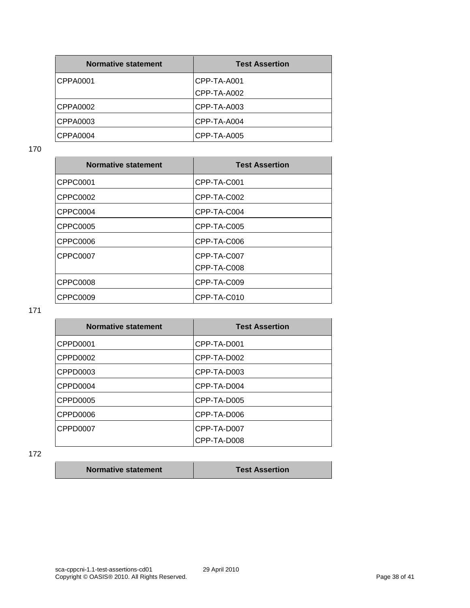| Normative statement | <b>Test Assertion</b> |
|---------------------|-----------------------|
| CPPA0001            | CPP-TA-A001           |
|                     | CPP-TA-A002           |
| CPPA0002            | CPP-TA-A003           |
| CPPA0003            | CPP-TA-A004           |
| CPPA0004            | CPP-TA-A005           |

| <b>Normative statement</b> | <b>Test Assertion</b> |
|----------------------------|-----------------------|
| CPPC0001                   | CPP-TA-C001           |
| CPPC0002                   | CPP-TA-C002           |
| CPPC0004                   | CPP-TA-C004           |
| <b>CPPC0005</b>            | CPP-TA-C005           |
| CPPC0006                   | CPP-TA-C006           |
| CPPC0007                   | CPP-TA-C007           |
|                            | CPP-TA-C008           |
| <b>CPPC0008</b>            | CPP-TA-C009           |
| CPPC0009                   | CPP-TA-C010           |

#### 171

| <b>Normative statement</b> | <b>Test Assertion</b> |
|----------------------------|-----------------------|
| CPPD0001                   | CPP-TA-D001           |
| CPPD0002                   | CPP-TA-D002           |
| CPPD0003                   | CPP-TA-D003           |
| CPPD0004                   | CPP-TA-D004           |
| CPPD0005                   | CPP-TA-D005           |
| CPPD0006                   | CPP-TA-D006           |
| CPPD0007                   | CPP-TA-D007           |
|                            | CPP-TA-D008           |

| Normative statement | <b>Test Assertion</b> |
|---------------------|-----------------------|
|---------------------|-----------------------|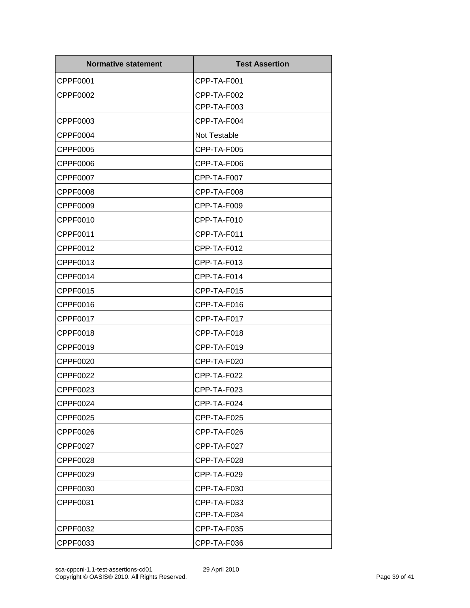| <b>Normative statement</b> | <b>Test Assertion</b> |
|----------------------------|-----------------------|
| CPPF0001                   | CPP-TA-F001           |
| CPPF0002                   | CPP-TA-F002           |
|                            | CPP-TA-F003           |
| CPPF0003                   | CPP-TA-F004           |
| CPPF0004                   | Not Testable          |
| CPPF0005                   | CPP-TA-F005           |
| CPPF0006                   | CPP-TA-F006           |
| CPPF0007                   | CPP-TA-F007           |
| CPPF0008                   | CPP-TA-F008           |
| CPPF0009                   | CPP-TA-F009           |
| CPPF0010                   | CPP-TA-F010           |
| CPPF0011                   | CPP-TA-F011           |
| CPPF0012                   | CPP-TA-F012           |
| CPPF0013                   | CPP-TA-F013           |
| CPPF0014                   | CPP-TA-F014           |
| CPPF0015                   | CPP-TA-F015           |
| CPPF0016                   | CPP-TA-F016           |
| CPPF0017                   | CPP-TA-F017           |
| CPPF0018                   | CPP-TA-F018           |
| CPPF0019                   | CPP-TA-F019           |
| CPPF0020                   | CPP-TA-F020           |
| CPPF0022                   | CPP-TA-F022           |
| CPPF0023                   | CPP-TA-F023           |
| CPPF0024                   | CPP-TA-F024           |
| CPPF0025                   | CPP-TA-F025           |
| CPPF0026                   | CPP-TA-F026           |
| CPPF0027                   | CPP-TA-F027           |
| CPPF0028                   | CPP-TA-F028           |
| CPPF0029                   | CPP-TA-F029           |
| CPPF0030                   | CPP-TA-F030           |
| CPPF0031                   | CPP-TA-F033           |
|                            | CPP-TA-F034           |
| CPPF0032                   | CPP-TA-F035           |
| CPPF0033                   | CPP-TA-F036           |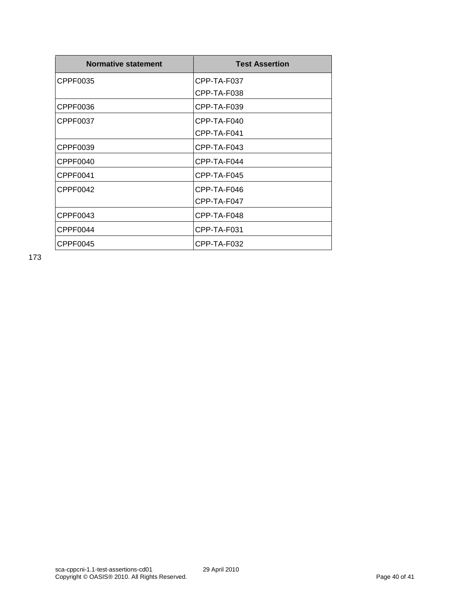| <b>Normative statement</b> | <b>Test Assertion</b> |
|----------------------------|-----------------------|
| CPPF0035                   | CPP-TA-F037           |
|                            | CPP-TA-F038           |
| CPPF0036                   | CPP-TA-F039           |
| CPPF0037                   | CPP-TA-F040           |
|                            | CPP-TA-F041           |
| CPPF0039                   | CPP-TA-F043           |
| CPPF0040                   | CPP-TA-F044           |
| CPPF0041                   | CPP-TA-F045           |
| CPPF0042                   | CPP-TA-F046           |
|                            | CPP-TA-F047           |
| CPPF0043                   | CPP-TA-F048           |
| CPPF0044                   | CPP-TA-F031           |
| CPPF0045                   | CPP-TA-F032           |